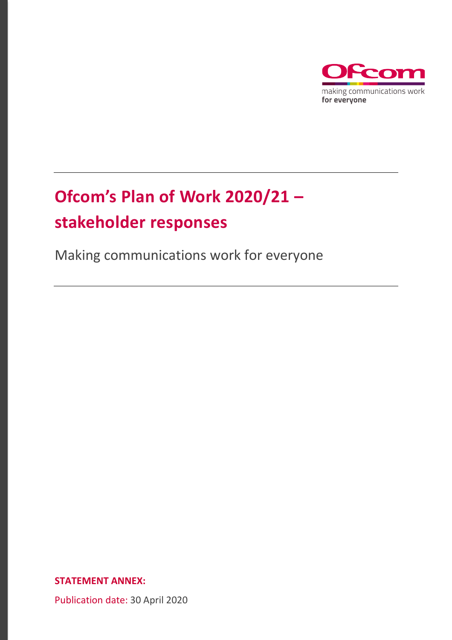

# **Ofcom's Plan of Work 2020/21 – stakeholder responses**

Making communications work for everyone

**STATEMENT ANNEX:** 

Publication date: 30 April 2020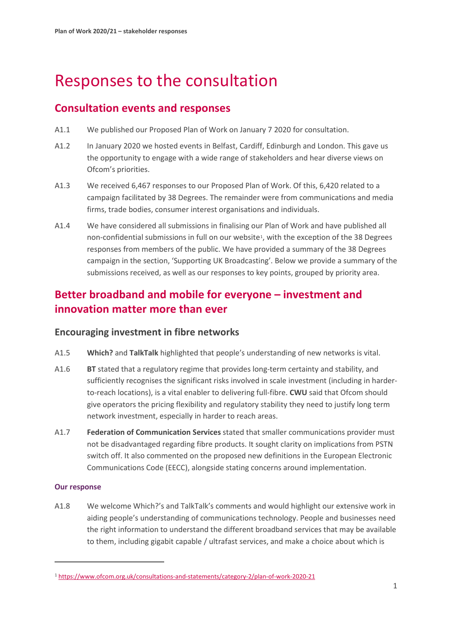# Responses to the consultation

## **Consultation events and responses**

- A1.1 We published our Proposed Plan of Work on January 7 2020 for consultation.
- A1.2 In January 2020 we hosted events in Belfast, Cardiff, Edinburgh and London. This gave us the opportunity to engage with a wide range of stakeholders and hear diverse views on Ofcom's priorities.
- A1.3 We received 6,467 responses to our Proposed Plan of Work. Of this, 6,420 related to a campaign facilitated by 38 Degrees. The remainder were from communications and media firms, trade bodies, consumer interest organisations and individuals.
- A1.4 We have considered all submissions in finalising our Plan of Work and have published all non-confidential submissions in full on our website[1,](#page-1-0) with the exception of the 38 Degrees responses from members of the public. We have provided a summary of the 38 Degrees campaign in the section, 'Supporting UK Broadcasting'. Below we provide a summary of the submissions received, as well as our responses to key points, grouped by priority area.

# **Better broadband and mobile for everyone – investment and innovation matter more than ever**

### **Encouraging investment in fibre networks**

- A1.5 **Which?** and **TalkTalk** highlighted that people's understanding of new networks is vital.
- A1.6 **BT** stated that a regulatory regime that provides long-term certainty and stability, and sufficiently recognises the significant risks involved in scale investment (including in harderto-reach locations), is a vital enabler to delivering full-fibre. **CWU** said that Ofcom should give operators the pricing flexibility and regulatory stability they need to justify long term network investment, especially in harder to reach areas.
- A1.7 **Federation of Communication Services** stated that smaller communications provider must not be disadvantaged regarding fibre products. It sought clarity on implications from PSTN switch off. It also commented on the proposed new definitions in the European Electronic Communications Code (EECC), alongside stating concerns around implementation.

### **Our response**

A1.8 We welcome Which?'s and TalkTalk's comments and would highlight our extensive work in aiding people's understanding of communications technology. People and businesses need the right information to understand the different broadband services that may be available to them, including gigabit capable / ultrafast services, and make a choice about which is

<span id="page-1-0"></span><sup>1</sup> <https://www.ofcom.org.uk/consultations-and-statements/category-2/plan-of-work-2020-21>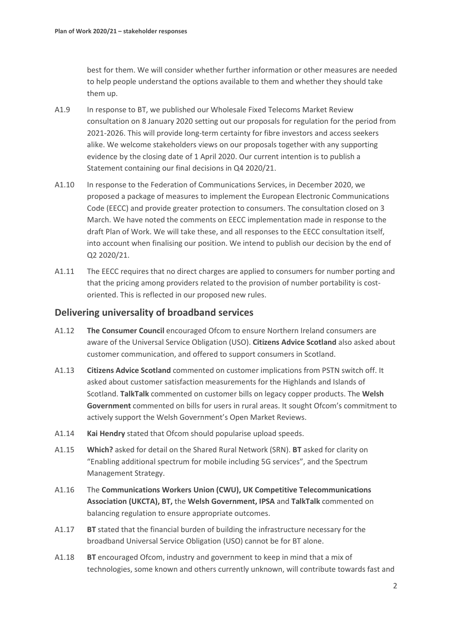best for them. We will consider whether further information or other measures are needed to help people understand the options available to them and whether they should take them up.

- A1.9 In response to BT, we published our Wholesale Fixed Telecoms Market Review consultation on 8 January 2020 setting out our proposals for regulation for the period from 2021-2026. This will provide long-term certainty for fibre investors and access seekers alike. We welcome stakeholders views on our proposals together with any supporting evidence by the closing date of 1 April 2020. Our current intention is to publish a Statement containing our final decisions in Q4 2020/21.
- A1.10 In response to the Federation of Communications Services, in December 2020, we proposed a package of measures to implement the European Electronic Communications Code (EECC) and provide greater protection to consumers. The consultation closed on 3 March. We have noted the comments on EECC implementation made in response to the draft Plan of Work. We will take these, and all responses to the EECC consultation itself, into account when finalising our position. We intend to publish our decision by the end of Q2 2020/21.
- A1.11 The EECC requires that no direct charges are applied to consumers for number porting and that the pricing among providers related to the provision of number portability is costoriented. This is reflected in our proposed new rules.

### **Delivering universality of broadband services**

- A1.12 **The Consumer Council** encouraged Ofcom to ensure Northern Ireland consumers are aware of the Universal Service Obligation (USO). **Citizens Advice Scotland** also asked about customer communication, and offered to support consumers in Scotland.
- A1.13 **Citizens Advice Scotland** commented on customer implications from PSTN switch off. It asked about customer satisfaction measurements for the Highlands and Islands of Scotland. **TalkTalk** commented on customer bills on legacy copper products. The **Welsh Government** commented on bills for users in rural areas. It sought Ofcom's commitment to actively support the Welsh Government's Open Market Reviews.
- A1.14 **Kai Hendry** stated that Ofcom should popularise upload speeds.
- A1.15 **Which?** asked for detail on the Shared Rural Network (SRN). **BT** asked for clarity on "Enabling additional spectrum for mobile including 5G services", and the Spectrum Management Strategy.
- A1.16 The **Communications Workers Union (CWU), UK Competitive Telecommunications Association (UKCTA), BT,** the **Welsh Government, IPSA** and **TalkTalk** commented on balancing regulation to ensure appropriate outcomes.
- A1.17 **BT** stated that the financial burden of building the infrastructure necessary for the broadband Universal Service Obligation (USO) cannot be for BT alone.
- A1.18 **BT** encouraged Ofcom, industry and government to keep in mind that a mix of technologies, some known and others currently unknown, will contribute towards fast and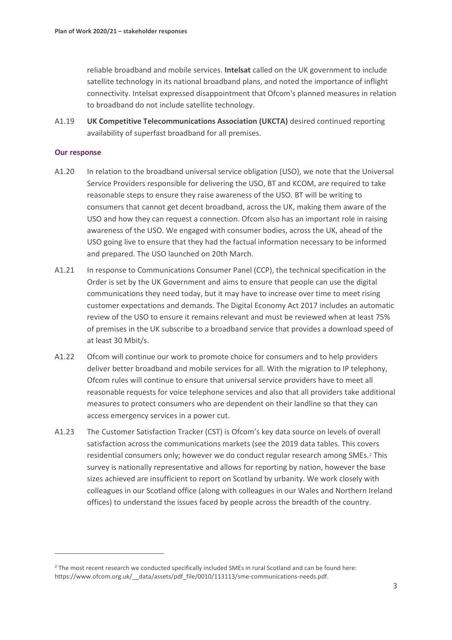reliable broadband and mobile services. **Intelsat** called on the UK government to include satellite technology in its national broadband plans, and noted the importance of inflight connectivity. Intelsat expressed disappointment that Ofcom's planned measures in relation to broadband do not include satellite technology.

A1.19 **UK Competitive Telecommunications Association (UKCTA)** desired continued reporting availability of superfast broadband for all premises.

- A1.20 In relation to the broadband universal service obligation (USO), we note that the Universal Service Providers responsible for delivering the USO, BT and KCOM, are required to take reasonable steps to ensure they raise awareness of the USO. BT will be writing to consumers that cannot get decent broadband, across the UK, making them aware of the USO and how they can request a connection. Ofcom also has an important role in raising awareness of the USO. We engaged with consumer bodies, across the UK, ahead of the USO going live to ensure that they had the factual information necessary to be informed and prepared. The USO launched on 20th March.
- A1.21 In response to Communications Consumer Panel (CCP), the technical specification in the Order is set by the UK Government and aims to ensure that people can use the digital communications they need today, but it may have to increase over time to meet rising customer expectations and demands. The Digital Economy Act 2017 includes an automatic review of the USO to ensure it remains relevant and must be reviewed when at least 75% of premises in the UK subscribe to a broadband service that provides a download speed of at least 30 Mbit/s.
- A1.22 Ofcom will continue our work to promote choice for consumers and to help providers deliver better broadband and mobile services for all. With the migration to IP telephony, Ofcom rules will continue to ensure that universal service providers have to meet all reasonable requests for voice telephone services and also that all providers take additional measures to protect consumers who are dependent on their landline so that they can access emergency services in a power cut.
- A1.23 The Customer Satisfaction Tracker (CST) is Ofcom's key data source on levels of overall satisfaction across the communications markets (see the 2019 data tables. This covers residential consumers only; however we do conduct regular research among SMEs.<sup>[2](#page-3-0)</sup> This survey is nationally representative and allows for reporting by nation, however the base sizes achieved are insufficient to report on Scotland by urbanity. We work closely with colleagues in our Scotland office (along with colleagues in our Wales and Northern Ireland offices) to understand the issues faced by people across the breadth of the country.

<span id="page-3-0"></span><sup>2</sup> The most recent research we conducted specifically included SMEs in rural Scotland and can be found here: https://www.ofcom.org.uk/ data/assets/pdf file/0010/113113/sme-communications-needs.pdf.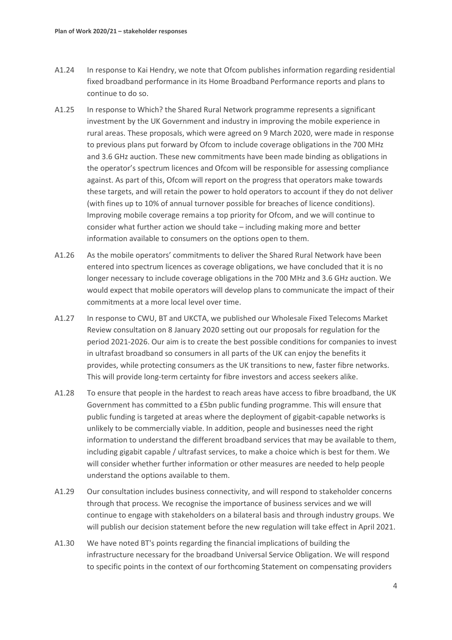- A1.24 In response to Kai Hendry, we note that Ofcom publishes information regarding residential fixed broadband performance in its Home Broadband Performance reports and plans to continue to do so.
- A1.25 In response to Which? the Shared Rural Network programme represents a significant investment by the UK Government and industry in improving the mobile experience in rural areas. These proposals, which were agreed on 9 March 2020, were made in response to previous plans put forward by Ofcom to include coverage obligations in the 700 MHz and 3.6 GHz auction. These new commitments have been made binding as obligations in the operator's spectrum licences and Ofcom will be responsible for assessing compliance against. As part of this, Ofcom will report on the progress that operators make towards these targets, and will retain the power to hold operators to account if they do not deliver (with fines up to 10% of annual turnover possible for breaches of licence conditions). Improving mobile coverage remains a top priority for Ofcom, and we will continue to consider what further action we should take – including making more and better information available to consumers on the options open to them.
- A1.26 As the mobile operators' commitments to deliver the Shared Rural Network have been entered into spectrum licences as coverage obligations, we have concluded that it is no longer necessary to include coverage obligations in the 700 MHz and 3.6 GHz auction. We would expect that mobile operators will develop plans to communicate the impact of their commitments at a more local level over time.
- A1.27 In response to CWU, BT and UKCTA, we published our Wholesale Fixed Telecoms Market Review consultation on 8 January 2020 setting out our proposals for regulation for the period 2021-2026. Our aim is to create the best possible conditions for companies to invest in ultrafast broadband so consumers in all parts of the UK can enjoy the benefits it provides, while protecting consumers as the UK transitions to new, faster fibre networks. This will provide long-term certainty for fibre investors and access seekers alike.
- A1.28 To ensure that people in the hardest to reach areas have access to fibre broadband, the UK Government has committed to a £5bn public funding programme. This will ensure that public funding is targeted at areas where the deployment of gigabit-capable networks is unlikely to be commercially viable. In addition, people and businesses need the right information to understand the different broadband services that may be available to them, including gigabit capable / ultrafast services, to make a choice which is best for them. We will consider whether further information or other measures are needed to help people understand the options available to them.
- A1.29 Our consultation includes business connectivity, and will respond to stakeholder concerns through that process. We recognise the importance of business services and we will continue to engage with stakeholders on a bilateral basis and through industry groups. We will publish our decision statement before the new regulation will take effect in April 2021.
- A1.30 We have noted BT's points regarding the financial implications of building the infrastructure necessary for the broadband Universal Service Obligation. We will respond to specific points in the context of our forthcoming Statement on compensating providers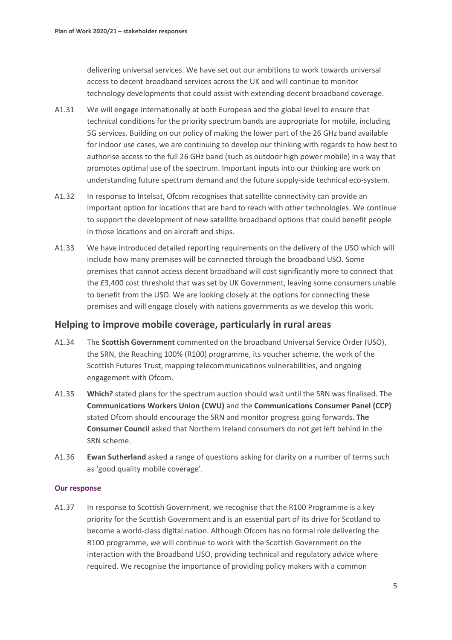delivering universal services. We have set out our ambitions to work towards universal access to decent broadband services across the UK and will continue to monitor technology developments that could assist with extending decent broadband coverage.

- A1.31 We will engage internationally at both European and the global level to ensure that technical conditions for the priority spectrum bands are appropriate for mobile, including 5G services. Building on our policy of making the lower part of the 26 GHz band available for indoor use cases, we are continuing to develop our thinking with regards to how best to authorise access to the full 26 GHz band (such as outdoor high power mobile) in a way that promotes optimal use of the spectrum. Important inputs into our thinking are work on understanding future spectrum demand and the future supply-side technical eco-system.
- A1.32 In response to Intelsat, Ofcom recognises that satellite connectivity can provide an important option for locations that are hard to reach with other technologies. We continue to support the development of new satellite broadband options that could benefit people in those locations and on aircraft and ships.
- A1.33 We have introduced detailed reporting requirements on the delivery of the USO which will include how many premises will be connected through the broadband USO. Some premises that cannot access decent broadband will cost significantly more to connect that the £3,400 cost threshold that was set by UK Government, leaving some consumers unable to benefit from the USO. We are looking closely at the options for connecting these premises and will engage closely with nations governments as we develop this work.

### **Helping to improve mobile coverage, particularly in rural areas**

- A1.34 The **Scottish Government** commented on the broadband Universal Service Order (USO), the SRN, the Reaching 100% (R100) programme, its voucher scheme, the work of the Scottish Futures Trust, mapping telecommunications vulnerabilities, and ongoing engagement with Ofcom.
- A1.35 **Which?** stated plans for the spectrum auction should wait until the SRN was finalised. The **Communications Workers Union (CWU)** and the **Communications Consumer Panel (CCP)** stated Ofcom should encourage the SRN and monitor progress going forwards. **The Consumer Council** asked that Northern Ireland consumers do not get left behind in the SRN scheme.
- A1.36 **Ewan Sutherland** asked a range of questions asking for clarity on a number of terms such as 'good quality mobile coverage'.

#### **Our response**

A1.37 In response to Scottish Government, we recognise that the R100 Programme is a key priority for the Scottish Government and is an essential part of its drive for Scotland to become a world-class digital nation. Although Ofcom has no formal role delivering the R100 programme, we will continue to work with the Scottish Government on the interaction with the Broadband USO, providing technical and regulatory advice where required. We recognise the importance of providing policy makers with a common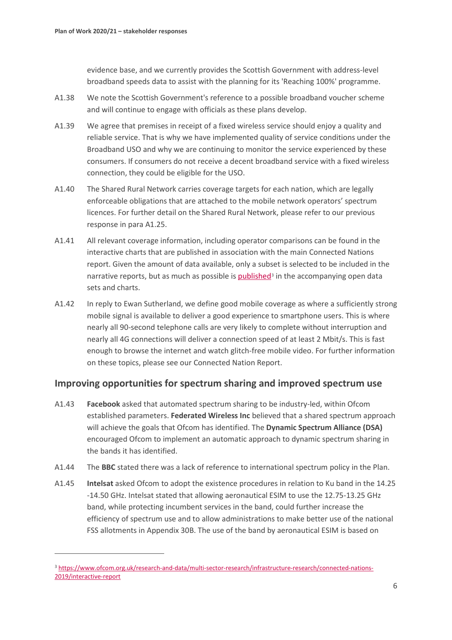evidence base, and we currently provides the Scottish Government with address-level broadband speeds data to assist with the planning for its 'Reaching 100%' programme.

- A1.38 We note the Scottish Government's reference to a possible broadband voucher scheme and will continue to engage with officials as these plans develop.
- A1.39 We agree that premises in receipt of a fixed wireless service should enjoy a quality and reliable service. That is why we have implemented quality of service conditions under the Broadband USO and why we are continuing to monitor the service experienced by these consumers. If consumers do not receive a decent broadband service with a fixed wireless connection, they could be eligible for the USO.
- A1.40 The Shared Rural Network carries coverage targets for each nation, which are legally enforceable obligations that are attached to the mobile network operators' spectrum licences. For further detail on the Shared Rural Network, please refer to our previous response in para A1.25.
- A1.41 All relevant coverage information, including operator comparisons can be found in the interactive charts that are published in association with the main Connected Nations report. Given the amount of data available, only a subset is selected to be included in the narrative reports, but as much as possible is [published](https://www.ofcom.org.uk/research-and-data/multi-sector-research/infrastructure-research/connected-nations-2019/interactive-report)<sup>[3](#page-6-0)</sup> in the accompanying open data sets and charts.
- A1.42 In reply to Ewan Sutherland, we define good mobile coverage as where a sufficiently strong mobile signal is available to deliver a good experience to smartphone users. This is where nearly all 90-second telephone calls are very likely to complete without interruption and nearly all 4G connections will deliver a connection speed of at least 2 Mbit/s. This is fast enough to browse the internet and watch glitch-free mobile video. For further information on these topics, please see our Connected Nation Report.

### **Improving opportunities for spectrum sharing and improved spectrum use**

- A1.43 **Facebook** asked that automated spectrum sharing to be industry-led, within Ofcom established parameters. **Federated Wireless Inc** believed that a shared spectrum approach will achieve the goals that Ofcom has identified. The **Dynamic Spectrum Alliance (DSA)** encouraged Ofcom to implement an automatic approach to dynamic spectrum sharing in the bands it has identified.
- A1.44 The **BBC** stated there was a lack of reference to international spectrum policy in the Plan.
- A1.45 **Intelsat** asked Ofcom to adopt the existence procedures in relation to Ku band in the 14.25 -14.50 GHz. Intelsat stated that allowing aeronautical ESIM to use the 12.75-13.25 GHz band, while protecting incumbent services in the band, could further increase the efficiency of spectrum use and to allow administrations to make better use of the national FSS allotments in Appendix 30B. The use of the band by aeronautical ESIM is based on

<span id="page-6-0"></span><sup>3</sup> [https://www.ofcom.org.uk/research-and-data/multi-sector-research/infrastructure-research/connected-nations-](https://www.ofcom.org.uk/research-and-data/multi-sector-research/infrastructure-research/connected-nations-2019/interactive-report)[2019/interactive-report](https://www.ofcom.org.uk/research-and-data/multi-sector-research/infrastructure-research/connected-nations-2019/interactive-report)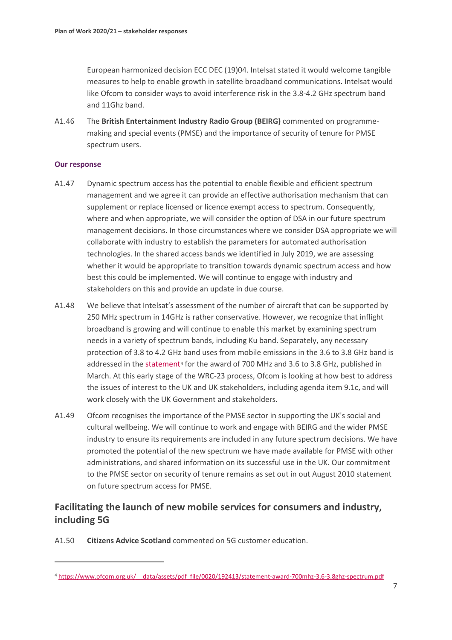European harmonized decision ECC DEC (19)04. Intelsat stated it would welcome tangible measures to help to enable growth in satellite broadband communications. Intelsat would like Ofcom to consider ways to avoid interference risk in the 3.8-4.2 GHz spectrum band and 11Ghz band.

A1.46 The **British Entertainment Industry Radio Group (BEIRG)** commented on programmemaking and special events (PMSE) and the importance of security of tenure for PMSE spectrum users.

#### **Our response**

- A1.47 Dynamic spectrum access has the potential to enable flexible and efficient spectrum management and we agree it can provide an effective authorisation mechanism that can supplement or replace licensed or licence exempt access to spectrum. Consequently, where and when appropriate, we will consider the option of DSA in our future spectrum management decisions. In those circumstances where we consider DSA appropriate we will collaborate with industry to establish the parameters for automated authorisation technologies. In the shared access bands we identified in July 2019, we are assessing whether it would be appropriate to transition towards dynamic spectrum access and how best this could be implemented. We will continue to engage with industry and stakeholders on this and provide an update in due course.
- A1.48 We believe that Intelsat's assessment of the number of aircraft that can be supported by 250 MHz spectrum in 14GHz is rather conservative. However, we recognize that inflight broadband is growing and will continue to enable this market by examining spectrum needs in a variety of spectrum bands, including Ku band. Separately, any necessary protection of 3.8 to 4.2 GHz band uses from mobile emissions in the 3.6 to 3.8 GHz band is addressed in the [statement](https://www.ofcom.org.uk/__data/assets/pdf_file/0020/192413/statement-award-700mhz-3.6-3.8ghz-spectrum.pdf)<sup>[4](#page-7-0)</sup> for the award of 700 MHz and 3.6 to 3.8 GHz, published in March. At this early stage of the WRC-23 process, Ofcom is looking at how best to address the issues of interest to the UK and UK stakeholders, including agenda item 9.1c, and will work closely with the UK Government and stakeholders.
- A1.49 Ofcom recognises the importance of the PMSE sector in supporting the UK's social and cultural wellbeing. We will continue to work and engage with BEIRG and the wider PMSE industry to ensure its requirements are included in any future spectrum decisions. We have promoted the potential of the new spectrum we have made available for PMSE with other administrations, and shared information on its successful use in the UK. Our commitment to the PMSE sector on security of tenure remains as set out in out August 2010 statement on future spectrum access for PMSE.

### **Facilitating the launch of new mobile services for consumers and industry, including 5G**

A1.50 **Citizens Advice Scotland** commented on 5G customer education.

<span id="page-7-0"></span><sup>4</sup> [https://www.ofcom.org.uk/\\_\\_data/assets/pdf\\_file/0020/192413/statement-award-700mhz-3.6-3.8ghz-spectrum.pdf](https://www.ofcom.org.uk/__data/assets/pdf_file/0020/192413/statement-award-700mhz-3.6-3.8ghz-spectrum.pdf)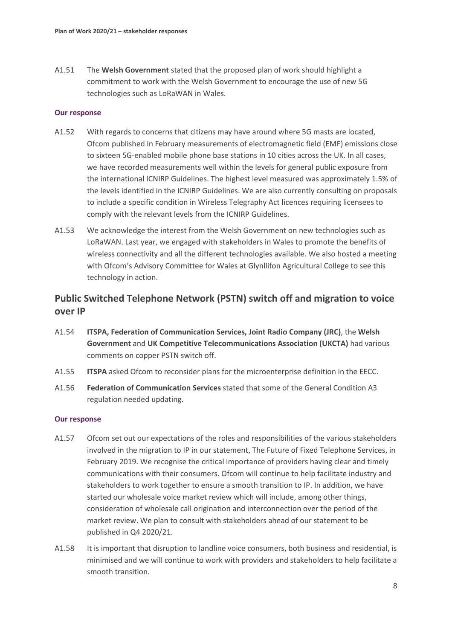A1.51 The **Welsh Government** stated that the proposed plan of work should highlight a commitment to work with the Welsh Government to encourage the use of new 5G technologies such as LoRaWAN in Wales.

#### **Our response**

- A1.52 With regards to concerns that citizens may have around where 5G masts are located, Ofcom published in February measurements of electromagnetic field (EMF) emissions close to sixteen 5G-enabled mobile phone base stations in 10 cities across the UK. In all cases, we have recorded measurements well within the levels for general public exposure from the international ICNIRP Guidelines. The highest level measured was approximately 1.5% of the levels identified in the ICNIRP Guidelines. We are also currently consulting on proposals to include a specific condition in Wireless Telegraphy Act licences requiring licensees to comply with the relevant levels from the ICNIRP Guidelines.
- A1.53 We acknowledge the interest from the Welsh Government on new technologies such as LoRaWAN. Last year, we engaged with stakeholders in Wales to promote the benefits of wireless connectivity and all the different technologies available. We also hosted a meeting with Ofcom's Advisory Committee for Wales at Glynllifon Agricultural College to see this technology in action.

### **Public Switched Telephone Network (PSTN) switch off and migration to voice over IP**

- A1.54 **ITSPA, Federation of Communication Services, Joint Radio Company (JRC)**, the **Welsh Government** and **UK Competitive Telecommunications Association (UKCTA)** had various comments on copper PSTN switch off.
- A1.55 **ITSPA** asked Ofcom to reconsider plans for the microenterprise definition in the EECC.
- A1.56 **Federation of Communication Services** stated that some of the General Condition A3 regulation needed updating.

- A1.57 Ofcom set out our expectations of the roles and responsibilities of the various stakeholders involved in the migration to IP in our statement, The Future of Fixed Telephone Services, in February 2019. We recognise the critical importance of providers having clear and timely communications with their consumers. Ofcom will continue to help facilitate industry and stakeholders to work together to ensure a smooth transition to IP. In addition, we have started our wholesale voice market review which will include, among other things, consideration of wholesale call origination and interconnection over the period of the market review. We plan to consult with stakeholders ahead of our statement to be published in Q4 2020/21.
- A1.58 It is important that disruption to landline voice consumers, both business and residential, is minimised and we will continue to work with providers and stakeholders to help facilitate a smooth transition.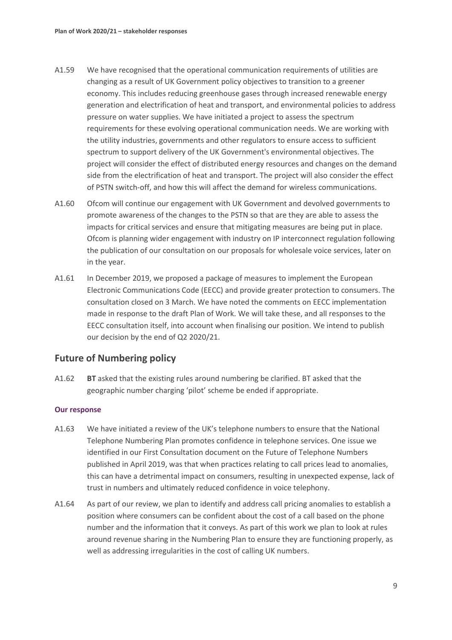- A1.59 We have recognised that the operational communication requirements of utilities are changing as a result of UK Government policy objectives to transition to a greener economy. This includes reducing greenhouse gases through increased renewable energy generation and electrification of heat and transport, and environmental policies to address pressure on water supplies. We have initiated a project to assess the spectrum requirements for these evolving operational communication needs. We are working with the utility industries, governments and other regulators to ensure access to sufficient spectrum to support delivery of the UK Government's environmental objectives. The project will consider the effect of distributed energy resources and changes on the demand side from the electrification of heat and transport. The project will also consider the effect of PSTN switch-off, and how this will affect the demand for wireless communications.
- A1.60 Ofcom will continue our engagement with UK Government and devolved governments to promote awareness of the changes to the PSTN so that are they are able to assess the impacts for critical services and ensure that mitigating measures are being put in place. Ofcom is planning wider engagement with industry on IP interconnect regulation following the publication of our consultation on our proposals for wholesale voice services, later on in the year.
- A1.61 In December 2019, we proposed a package of measures to implement the European Electronic Communications Code (EECC) and provide greater protection to consumers. The consultation closed on 3 March. We have noted the comments on EECC implementation made in response to the draft Plan of Work. We will take these, and all responses to the EECC consultation itself, into account when finalising our position. We intend to publish our decision by the end of Q2 2020/21.

### **Future of Numbering policy**

A1.62 **BT** asked that the existing rules around numbering be clarified. BT asked that the geographic number charging 'pilot' scheme be ended if appropriate.

- A1.63 We have initiated a review of the UK's telephone numbers to ensure that the National Telephone Numbering Plan promotes confidence in telephone services. One issue we identified in our First Consultation document on the Future of Telephone Numbers published in April 2019, was that when practices relating to call prices lead to anomalies, this can have a detrimental impact on consumers, resulting in unexpected expense, lack of trust in numbers and ultimately reduced confidence in voice telephony.
- A1.64 As part of our review, we plan to identify and address call pricing anomalies to establish a position where consumers can be confident about the cost of a call based on the phone number and the information that it conveys. As part of this work we plan to look at rules around revenue sharing in the Numbering Plan to ensure they are functioning properly, as well as addressing irregularities in the cost of calling UK numbers.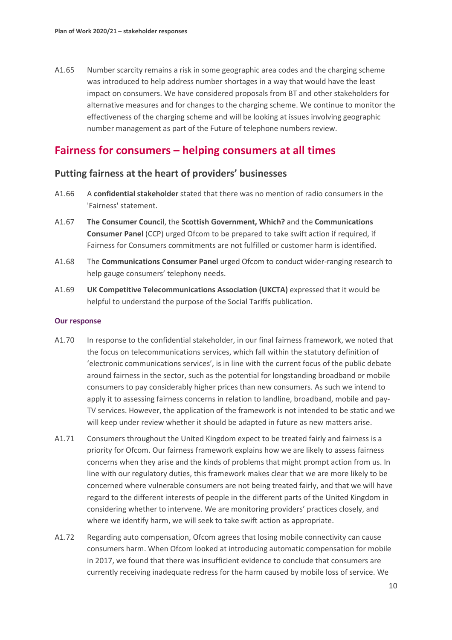A1.65 Number scarcity remains a risk in some geographic area codes and the charging scheme was introduced to help address number shortages in a way that would have the least impact on consumers. We have considered proposals from BT and other stakeholders for alternative measures and for changes to the charging scheme. We continue to monitor the effectiveness of the charging scheme and will be looking at issues involving geographic number management as part of the Future of telephone numbers review.

### **Fairness for consumers – helping consumers at all times**

### **Putting fairness at the heart of providers' businesses**

- A1.66 A **confidential stakeholder** stated that there was no mention of radio consumers in the 'Fairness' statement.
- A1.67 **The Consumer Council**, the **Scottish Government, Which?** and the **Communications Consumer Panel** (CCP) urged Ofcom to be prepared to take swift action if required, if Fairness for Consumers commitments are not fulfilled or customer harm is identified.
- A1.68 The **Communications Consumer Panel** urged Ofcom to conduct wider-ranging research to help gauge consumers' telephony needs.
- A1.69 **UK Competitive Telecommunications Association (UKCTA)** expressed that it would be helpful to understand the purpose of the Social Tariffs publication.

- A1.70 In response to the confidential stakeholder, in our final fairness framework, we noted that the focus on telecommunications services, which fall within the statutory definition of 'electronic communications services', is in line with the current focus of the public debate around fairness in the sector, such as the potential for longstanding broadband or mobile consumers to pay considerably higher prices than new consumers. As such we intend to apply it to assessing fairness concerns in relation to landline, broadband, mobile and pay-TV services. However, the application of the framework is not intended to be static and we will keep under review whether it should be adapted in future as new matters arise.
- A1.71 Consumers throughout the United Kingdom expect to be treated fairly and fairness is a priority for Ofcom. Our fairness framework explains how we are likely to assess fairness concerns when they arise and the kinds of problems that might prompt action from us. In line with our regulatory duties, this framework makes clear that we are more likely to be concerned where vulnerable consumers are not being treated fairly, and that we will have regard to the different interests of people in the different parts of the United Kingdom in considering whether to intervene. We are monitoring providers' practices closely, and where we identify harm, we will seek to take swift action as appropriate.
- A1.72 Regarding auto compensation, Ofcom agrees that losing mobile connectivity can cause consumers harm. When Ofcom looked at introducing automatic compensation for mobile in 2017, we found that there was insufficient evidence to conclude that consumers are currently receiving inadequate redress for the harm caused by mobile loss of service. We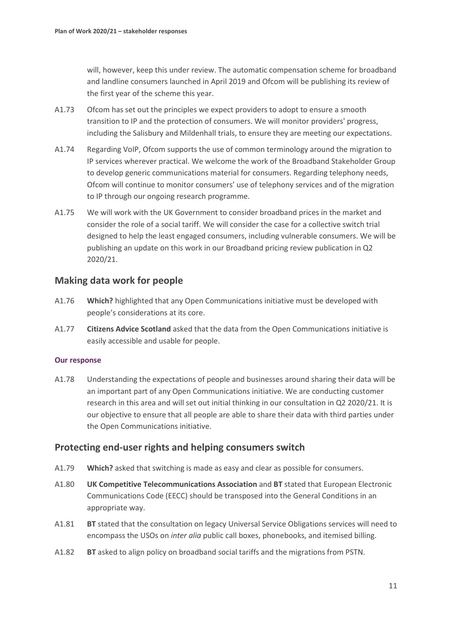will, however, keep this under review. The automatic compensation scheme for broadband and landline consumers launched in April 2019 and Ofcom will be publishing its review of the first year of the scheme this year.

- A1.73 Ofcom has set out the principles we expect providers to adopt to ensure a smooth transition to IP and the protection of consumers. We will monitor providers' progress, including the Salisbury and Mildenhall trials, to ensure they are meeting our expectations.
- A1.74 Regarding VoIP, Ofcom supports the use of common terminology around the migration to IP services wherever practical. We welcome the work of the Broadband Stakeholder Group to develop generic communications material for consumers. Regarding telephony needs, Ofcom will continue to monitor consumers' use of telephony services and of the migration to IP through our ongoing research programme.
- A1.75 We will work with the UK Government to consider broadband prices in the market and consider the role of a social tariff. We will consider the case for a collective switch trial designed to help the least engaged consumers, including vulnerable consumers. We will be publishing an update on this work in our Broadband pricing review publication in Q2 2020/21.

### **Making data work for people**

- A1.76 **Which?** highlighted that any Open Communications initiative must be developed with people's considerations at its core.
- A1.77 **Citizens Advice Scotland** asked that the data from the Open Communications initiative is easily accessible and usable for people.

### **Our response**

A1.78 Understanding the expectations of people and businesses around sharing their data will be an important part of any Open Communications initiative. We are conducting customer research in this area and will set out initial thinking in our consultation in Q2 2020/21. It is our objective to ensure that all people are able to share their data with third parties under the Open Communications initiative.

### **Protecting end-user rights and helping consumers switch**

- A1.79 **Which?** asked that switching is made as easy and clear as possible for consumers.
- A1.80 **UK Competitive Telecommunications Association** and **BT** stated that European Electronic Communications Code (EECC) should be transposed into the General Conditions in an appropriate way.
- A1.81 **BT** stated that the consultation on legacy Universal Service Obligations services will need to encompass the USOs on *inter alia* public call boxes, phonebooks, and itemised billing.
- A1.82 **BT** asked to align policy on broadband social tariffs and the migrations from PSTN.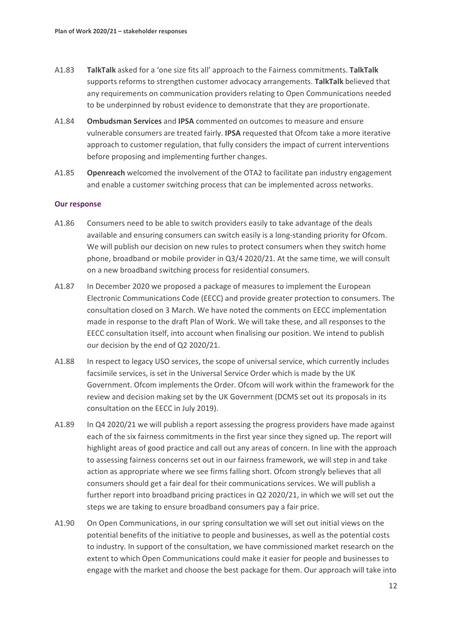- A1.83 **TalkTalk** asked for a 'one size fits all' approach to the Fairness commitments. **TalkTalk**  supports reforms to strengthen customer advocacy arrangements. **TalkTalk** believed that any requirements on communication providers relating to Open Communications needed to be underpinned by robust evidence to demonstrate that they are proportionate.
- A1.84 **Ombudsman Services** and **IPSA** commented on outcomes to measure and ensure vulnerable consumers are treated fairly. **IPSA** requested that Ofcom take a more iterative approach to customer regulation, that fully considers the impact of current interventions before proposing and implementing further changes.
- A1.85 **Openreach** welcomed the involvement of the OTA2 to facilitate pan industry engagement and enable a customer switching process that can be implemented across networks.

- A1.86 Consumers need to be able to switch providers easily to take advantage of the deals available and ensuring consumers can switch easily is a long-standing priority for Ofcom. We will publish our decision on new rules to protect consumers when they switch home phone, broadband or mobile provider in Q3/4 2020/21. At the same time, we will consult on a new broadband switching process for residential consumers.
- A1.87 In December 2020 we proposed a package of measures to implement the European Electronic Communications Code (EECC) and provide greater protection to consumers. The consultation closed on 3 March. We have noted the comments on EECC implementation made in response to the draft Plan of Work. We will take these, and all responses to the EECC consultation itself, into account when finalising our position. We intend to publish our decision by the end of Q2 2020/21.
- A1.88 In respect to legacy USO services, the scope of universal service, which currently includes facsimile services, is set in the Universal Service Order which is made by the UK Government. Ofcom implements the Order. Ofcom will work within the framework for the review and decision making set by the UK Government (DCMS set out its proposals in its consultation on the EECC in July 2019).
- A1.89 In Q4 2020/21 we will publish a report assessing the progress providers have made against each of the six fairness commitments in the first year since they signed up. The report will highlight areas of good practice and call out any areas of concern. In line with the approach to assessing fairness concerns set out in our fairness framework, we will step in and take action as appropriate where we see firms falling short. Ofcom strongly believes that all consumers should get a fair deal for their communications services. We will publish a further report into broadband pricing practices in Q2 2020/21, in which we will set out the steps we are taking to ensure broadband consumers pay a fair price.
- A1.90 On Open Communications, in our spring consultation we will set out initial views on the potential benefits of the initiative to people and businesses, as well as the potential costs to industry. In support of the consultation, we have commissioned market research on the extent to which Open Communications could make it easier for people and businesses to engage with the market and choose the best package for them. Our approach will take into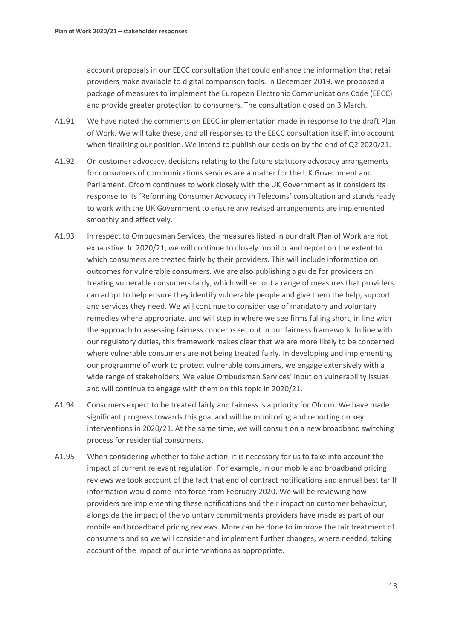account proposals in our EECC consultation that could enhance the information that retail providers make available to digital comparison tools. In December 2019, we proposed a package of measures to implement the European Electronic Communications Code (EECC) and provide greater protection to consumers. The consultation closed on 3 March.

- A1.91 We have noted the comments on EECC implementation made in response to the draft Plan of Work. We will take these, and all responses to the EECC consultation itself, into account when finalising our position. We intend to publish our decision by the end of Q2 2020/21.
- A1.92 On customer advocacy, decisions relating to the future statutory advocacy arrangements for consumers of communications services are a matter for the UK Government and Parliament. Ofcom continues to work closely with the UK Government as it considers its response to its 'Reforming Consumer Advocacy in Telecoms' consultation and stands ready to work with the UK Government to ensure any revised arrangements are implemented smoothly and effectively.
- A1.93 In respect to Ombudsman Services, the measures listed in our draft Plan of Work are not exhaustive. In 2020/21, we will continue to closely monitor and report on the extent to which consumers are treated fairly by their providers. This will include information on outcomes for vulnerable consumers. We are also publishing a guide for providers on treating vulnerable consumers fairly, which will set out a range of measures that providers can adopt to help ensure they identify vulnerable people and give them the help, support and services they need. We will continue to consider use of mandatory and voluntary remedies where appropriate, and will step in where we see firms falling short, in line with the approach to assessing fairness concerns set out in our fairness framework. In line with our regulatory duties, this framework makes clear that we are more likely to be concerned where vulnerable consumers are not being treated fairly. In developing and implementing our programme of work to protect vulnerable consumers, we engage extensively with a wide range of stakeholders. We value Ombudsman Services' input on vulnerability issues and will continue to engage with them on this topic in 2020/21.
- A1.94 Consumers expect to be treated fairly and fairness is a priority for Ofcom. We have made significant progress towards this goal and will be monitoring and reporting on key interventions in 2020/21. At the same time, we will consult on a new broadband switching process for residential consumers.
- A1.95 When considering whether to take action, it is necessary for us to take into account the impact of current relevant regulation. For example, in our mobile and broadband pricing reviews we took account of the fact that end of contract notifications and annual best tariff information would come into force from February 2020. We will be reviewing how providers are implementing these notifications and their impact on customer behaviour, alongside the impact of the voluntary commitments providers have made as part of our mobile and broadband pricing reviews. More can be done to improve the fair treatment of consumers and so we will consider and implement further changes, where needed, taking account of the impact of our interventions as appropriate.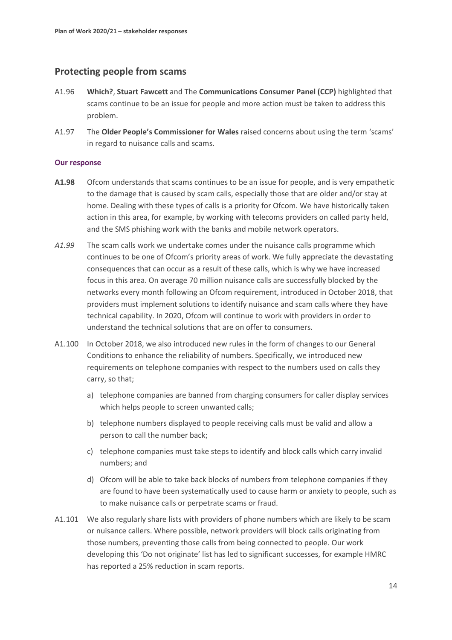### **Protecting people from scams**

- A1.96 **Which?**, **Stuart Fawcett** and The **Communications Consumer Panel (CCP)** highlighted that scams continue to be an issue for people and more action must be taken to address this problem.
- A1.97 The **Older People's Commissioner for Wales** raised concerns about using the term 'scams' in regard to nuisance calls and scams.

- **A1.98** Ofcom understands that scams continues to be an issue for people, and is very empathetic to the damage that is caused by scam calls, especially those that are older and/or stay at home. Dealing with these types of calls is a priority for Ofcom. We have historically taken action in this area, for example, by working with telecoms providers on called party held, and the SMS phishing work with the banks and mobile network operators.
- *A1.99* The scam calls work we undertake comes under the nuisance calls programme which continues to be one of Ofcom's priority areas of work. We fully appreciate the devastating consequences that can occur as a result of these calls, which is why we have increased focus in this area. On average 70 million nuisance calls are successfully blocked by the networks every month following an Ofcom requirement, introduced in October 2018, that providers must implement solutions to identify nuisance and scam calls where they have technical capability. In 2020, Ofcom will continue to work with providers in order to understand the technical solutions that are on offer to consumers.
- A1.100 In October 2018, we also introduced new rules in the form of changes to our General Conditions to enhance the reliability of numbers. Specifically, we introduced new requirements on telephone companies with respect to the numbers used on calls they carry, so that;
	- a) telephone companies are banned from charging consumers for caller display services which helps people to screen unwanted calls;
	- b) telephone numbers displayed to people receiving calls must be valid and allow a person to call the number back;
	- c) telephone companies must take steps to identify and block calls which carry invalid numbers; and
	- d) Ofcom will be able to take back blocks of numbers from telephone companies if they are found to have been systematically used to cause harm or anxiety to people, such as to make nuisance calls or perpetrate scams or fraud.
- A1.101 We also regularly share lists with providers of phone numbers which are likely to be scam or nuisance callers. Where possible, network providers will block calls originating from those numbers, preventing those calls from being connected to people. Our work developing this 'Do not originate' list has led to significant successes, for example HMRC has reported a 25% reduction in scam reports.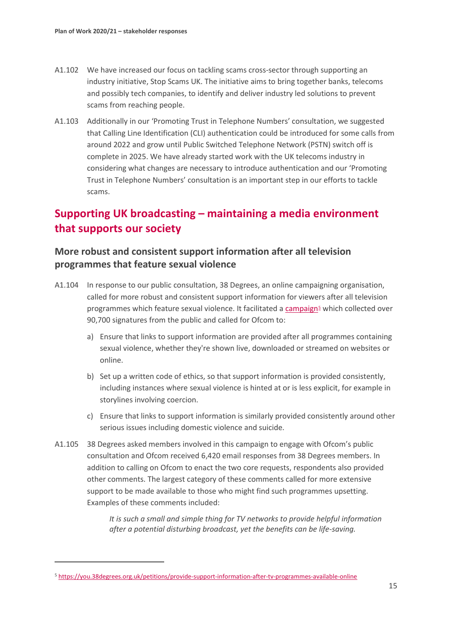- A1.102 We have increased our focus on tackling scams cross-sector through supporting an industry initiative, Stop Scams UK. The initiative aims to bring together banks, telecoms and possibly tech companies, to identify and deliver industry led solutions to prevent scams from reaching people.
- A1.103 Additionally in our ['Promoting](https://eur01.safelinks.protection.outlook.com/?url=https%3A%2F%2Fwww.ofcom.org.uk%2F__data%2Fassets%2Fpdf_file%2F0022%2F144265%2Ffirst-consultation-promoting-trust-in-telephone-numbers.pdf&data=02%7C01%7CMadhu.Bedhan%40ofcom.org.uk%7C50ac8d4af23248bdd51108d7ba16935a%7C0af648de310c40688ae4f9418bae24cc%7C0%7C0%7C637182478439775455&sdata=Z3cSff0KnOOWI8keM2ZvVjz7lcB1uHGPIJzE8%2B542OQ%3D&reserved=0) Trust in Telephone Numbers' consultation, we suggested that Calling Line Identification (CLI) authentication could be introduced for some calls from around 2022 and grow until Public Switched Telephone Network (PSTN) switch off is complete in 2025. We have already started work with the UK telecoms industry in considering what changes are necessary to introduce authentication and our 'Promoting Trust in Telephone Numbers' consultation is an important step in our efforts to tackle scams.

# **Supporting UK broadcasting – maintaining a media environment that supports our society**

### **More robust and consistent support information after all television programmes that feature sexual violence**

- A1.104 In response to our public consultation, 38 Degrees, an online campaigning organisation, called for more robust and consistent support information for viewers after all television programmes which feature sexual violence. It facilitated [a campaign](https://you.38degrees.org.uk/petitions/provide-support-information-after-tv-programmes-available-online)<sup>[5](#page-15-0)</sup> which collected over 90,700 signatures from the public and called for Ofcom to:
	- a) Ensure that links to support information are provided after all programmes containing sexual violence, whether they're shown live, downloaded or streamed on websites or online.
	- b) Set up a written code of ethics, so that support information is provided consistently, including instances where sexual violence is hinted at or is less explicit, for example in storylines involving coercion.
	- c) Ensure that links to support information is similarly provided consistently around other serious issues including domestic violence and suicide.
- A1.105 38 Degrees asked members involved in this campaign to engage with Ofcom's public consultation and Ofcom received 6,420 email responses from 38 Degrees members. In addition to calling on Ofcom to enact the two core requests, respondents also provided other comments. The largest category of these comments called for more extensive support to be made available to those who might find such programmes upsetting. Examples of these comments included:

*It is such a small and simple thing for TV networks to provide helpful information after a potential disturbing broadcast, yet the benefits can be life-saving.* 

<span id="page-15-0"></span><sup>5</sup> <https://you.38degrees.org.uk/petitions/provide-support-information-after-tv-programmes-available-online>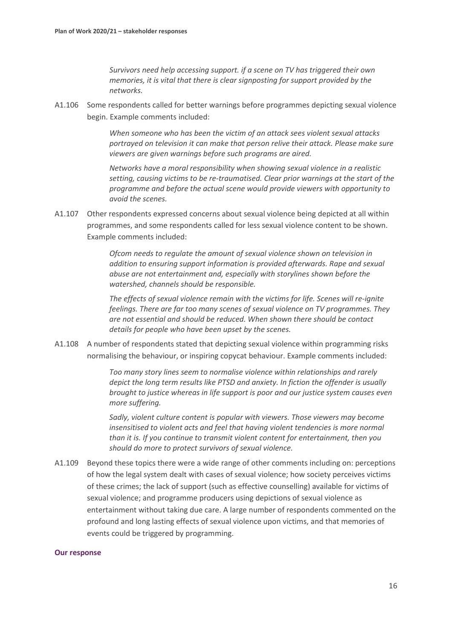*Survivors need help accessing support. if a scene on TV has triggered their own memories, it is vital that there is clear signposting for support provided by the networks.*

A1.106 Some respondents called for better warnings before programmes depicting sexual violence begin. Example comments included:

> *When someone who has been the victim of an attack sees violent sexual attacks portrayed on television it can make that person relive their attack. Please make sure viewers are given warnings before such programs are aired.*

> *Networks have a moral responsibility when showing sexual violence in a realistic setting, causing victims to be re-traumatised. Clear prior warnings at the start of the programme and before the actual scene would provide viewers with opportunity to avoid the scenes.*

A1.107 Other respondents expressed concerns about sexual violence being depicted at all within programmes, and some respondents called for less sexual violence content to be shown. Example comments included:

> *Ofcom needs to regulate the amount of sexual violence shown on television in addition to ensuring support information is provided afterwards. Rape and sexual abuse are not entertainment and, especially with storylines shown before the watershed, channels should be responsible.*

*The effects of sexual violence remain with the victims for life. Scenes will re-ignite feelings. There are far too many scenes of sexual violence on TV programmes. They are not essential and should be reduced. When shown there should be contact details for people who have been upset by the scenes.*

A1.108 A number of respondents stated that depicting sexual violence within programming risks normalising the behaviour, or inspiring copycat behaviour. Example comments included:

> *Too many story lines seem to normalise violence within relationships and rarely depict the long term results like PTSD and anxiety. In fiction the offender is usually brought to justice whereas in life support is poor and our justice system causes even more suffering.*

*Sadly, violent culture content is popular with viewers. Those viewers may become insensitised to violent acts and feel that having violent tendencies is more normal than it is. If you continue to transmit violent content for entertainment, then you should do more to protect survivors of sexual violence.*

A1.109 Beyond these topics there were a wide range of other comments including on: perceptions of how the legal system dealt with cases of sexual violence; how society perceives victims of these crimes; the lack of support (such as effective counselling) available for victims of sexual violence; and programme producers using depictions of sexual violence as entertainment without taking due care. A large number of respondents commented on the profound and long lasting effects of sexual violence upon victims, and that memories of events could be triggered by programming.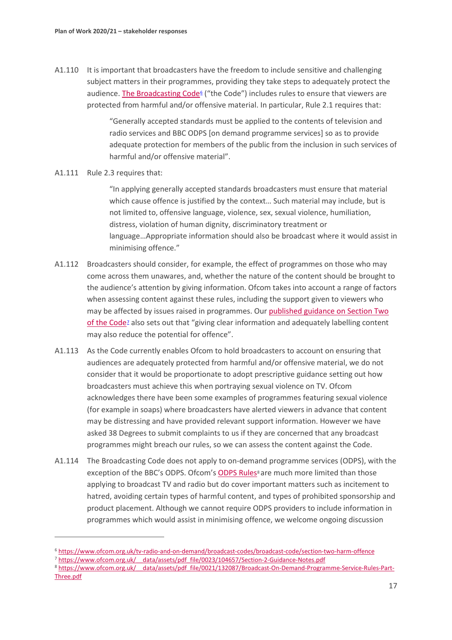A1.110 It is important that broadcasters have the freedom to include sensitive and challenging subject matters in their programmes, providing they take steps to adequately protect the audience[. The Broadcasting Code](https://www.ofcom.org.uk/tv-radio-and-on-demand/broadcast-codes/broadcast-code/section-two-harm-offence)<sup> $6$ </sup> ("the Code") includes rules to ensure that viewers are protected from harmful and/or offensive material. In particular, Rule 2.1 requires that:

> "Generally accepted standards must be applied to the contents of television and radio services and BBC ODPS [on demand programme services] so as to provide adequate protection for members of the public from the inclusion in such services of harmful and/or offensive material".

#### A1.111 Rule 2.3 requires that:

"In applying generally accepted standards broadcasters must ensure that material which cause offence is justified by the context… Such material may include, but is not limited to, offensive language, violence, sex, sexual violence, humiliation, distress, violation of human dignity, discriminatory treatment or language…Appropriate information should also be broadcast where it would assist in minimising offence."

- A1.112 Broadcasters should consider, for example, the effect of programmes on those who may come across them unawares, and, whether the nature of the content should be brought to the audience's attention by giving information. Ofcom takes into account a range of factors when assessing content against these rules, including the support given to viewers who may be affected by issues raised in programmes. Our [published guidance on Section Two](https://www.ofcom.org.uk/__data/assets/pdf_file/0023/104657/Section-2-Guidance-Notes.pdf)  [of the Code](https://www.ofcom.org.uk/__data/assets/pdf_file/0023/104657/Section-2-Guidance-Notes.pdf)<sup>*z*</sup> also sets out that "giving clear information and adequately labelling content may also reduce the potential for offence".
- A1.113 As the Code currently enables Ofcom to hold broadcasters to account on ensuring that audiences are adequately protected from harmful and/or offensive material, we do not consider that it would be proportionate to adopt prescriptive guidance setting out how broadcasters must achieve this when portraying sexual violence on TV. Ofcom acknowledges there have been some examples of programmes featuring sexual violence (for example in soaps) where broadcasters have alerted viewers in advance that content may be distressing and have provided relevant support information. However we have asked 38 Degrees to submit complaints to us if they are concerned that any broadcast programmes might breach our rules, so we can assess the content against the Code.
- A1.114 The Broadcasting Code does not apply to on-demand programme services (ODPS), with the exception of the BBC's ODPS. Ofcom's [ODPS Rules](https://www.ofcom.org.uk/__data/assets/pdf_file/0021/132087/Broadcast-On-Demand-Programme-Service-Rules-Part-Three.pdf)<sup>[8](#page-17-2)</sup> are much more limited than those applying to broadcast TV and radio but do cover important matters such as incitement to hatred, avoiding certain types of harmful content, and types of prohibited sponsorship and product placement. Although we cannot require ODPS providers to include information in programmes which would assist in minimising offence, we welcome ongoing discussion

<span id="page-17-0"></span><sup>6</sup> <https://www.ofcom.org.uk/tv-radio-and-on-demand/broadcast-codes/broadcast-code/section-two-harm-offence>

<span id="page-17-1"></span><sup>7</sup> https://www.ofcom.org.uk/ data/assets/pdf\_file/0023/104657/Section-2-Guidance-Notes.pdf

<span id="page-17-2"></span><sup>8</sup> https://www.ofcom.org.uk/ data/assets/pdf file/0021/132087/Broadcast-On-Demand-Programme-Service-Rules-Part-[Three.pdf](https://www.ofcom.org.uk/__data/assets/pdf_file/0021/132087/Broadcast-On-Demand-Programme-Service-Rules-Part-Three.pdf)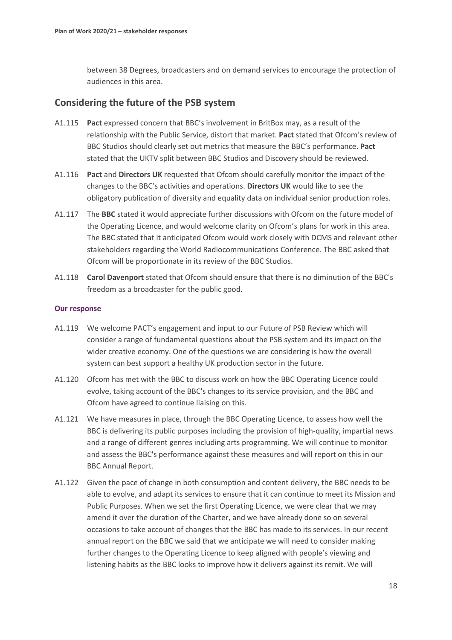between 38 Degrees, broadcasters and on demand services to encourage the protection of audiences in this area.

### **Considering the future of the PSB system**

- A1.115 **Pact** expressed concern that BBC's involvement in BritBox may, as a result of the relationship with the Public Service, distort that market. **Pact** stated that Ofcom's review of BBC Studios should clearly set out metrics that measure the BBC's performance. **Pact** stated that the UKTV split between BBC Studios and Discovery should be reviewed.
- A1.116 **Pact** and **Directors UK** requested that Ofcom should carefully monitor the impact of the changes to the BBC's activities and operations. **Directors UK** would like to see the obligatory publication of diversity and equality data on individual senior production roles.
- A1.117 The **BBC** stated it would appreciate further discussions with Ofcom on the future model of the Operating Licence, and would welcome clarity on Ofcom's plans for work in this area. The BBC stated that it anticipated Ofcom would work closely with DCMS and relevant other stakeholders regarding the World Radiocommunications Conference. The BBC asked that Ofcom will be proportionate in its review of the BBC Studios.
- A1.118 **Carol Davenport** stated that Ofcom should ensure that there is no diminution of the BBC's freedom as a broadcaster for the public good.

- A1.119 We welcome PACT's engagement and input to our Future of PSB Review which will consider a range of fundamental questions about the PSB system and its impact on the wider creative economy. One of the questions we are considering is how the overall system can best support a healthy UK production sector in the future.
- A1.120 Ofcom has met with the BBC to discuss work on how the BBC Operating Licence could evolve, taking account of the BBC's changes to its service provision, and the BBC and Ofcom have agreed to continue liaising on this.
- A1.121 We have measures in place, through the BBC Operating Licence, to assess how well the BBC is delivering its public purposes including the provision of high-quality, impartial news and a range of different genres including arts programming. We will continue to monitor and assess the BBC's performance against these measures and will report on this in our BBC Annual Report.
- A1.122 Given the pace of change in both consumption and content delivery, the BBC needs to be able to evolve, and adapt its services to ensure that it can continue to meet its Mission and Public Purposes. When we set the first Operating Licence, we were clear that we may amend it over the duration of the Charter, and we have already done so on several occasions to take account of changes that the BBC has made to its services. In our recent annual report on the BBC we said that we anticipate we will need to consider making further changes to the Operating Licence to keep aligned with people's viewing and listening habits as the BBC looks to improve how it delivers against its remit. We will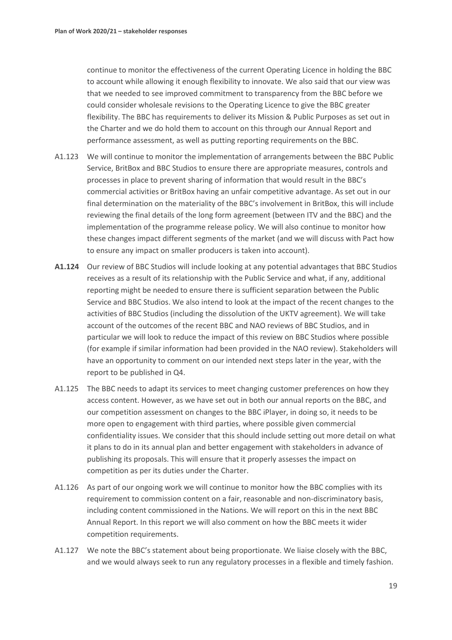continue to monitor the effectiveness of the current Operating Licence in holding the BBC to account while allowing it enough flexibility to innovate. We also said that our view was that we needed to see improved commitment to transparency from the BBC before we could consider wholesale revisions to the Operating Licence to give the BBC greater flexibility. The BBC has requirements to deliver its Mission & Public Purposes as set out in the Charter and we do hold them to account on this through our Annual Report and performance assessment, as well as putting reporting requirements on the BBC.

- A1.123 We will continue to monitor the implementation of arrangements between the BBC Public Service, BritBox and BBC Studios to ensure there are appropriate measures, controls and processes in place to prevent sharing of information that would result in the BBC's commercial activities or BritBox having an unfair competitive advantage. As set out in our final determination on the materiality of the BBC's involvement in BritBox, this will include reviewing the final details of the long form agreement (between ITV and the BBC) and the implementation of the programme release policy. We will also continue to monitor how these changes impact different segments of the market (and we will discuss with Pact how to ensure any impact on smaller producers is taken into account).
- **A1.124** Our review of BBC Studios will include looking at any potential advantages that BBC Studios receives as a result of its relationship with the Public Service and what, if any, additional reporting might be needed to ensure there is sufficient separation between the Public Service and BBC Studios. We also intend to look at the impact of the recent changes to the activities of BBC Studios (including the dissolution of the UKTV agreement). We will take account of the outcomes of the recent BBC and NAO reviews of BBC Studios, and in particular we will look to reduce the impact of this review on BBC Studios where possible (for example if similar information had been provided in the NAO review). Stakeholders will have an opportunity to comment on our intended next steps later in the year, with the report to be published in Q4.
- A1.125 The BBC needs to adapt its services to meet changing customer preferences on how they access content. However, as we have set out in both our annual reports on the BBC, and our competition assessment on changes to the BBC iPlayer, in doing so, it needs to be more open to engagement with third parties, where possible given commercial confidentiality issues. We consider that this should include setting out more detail on what it plans to do in its annual plan and better engagement with stakeholders in advance of publishing its proposals. This will ensure that it properly assesses the impact on competition as per its duties under the Charter.
- A1.126 As part of our ongoing work we will continue to monitor how the BBC complies with its requirement to commission content on a fair, reasonable and non-discriminatory basis, including content commissioned in the Nations. We will report on this in the next BBC Annual Report. In this report we will also comment on how the BBC meets it wider competition requirements.
- A1.127 We note the BBC's statement about being proportionate. We liaise closely with the BBC, and we would always seek to run any regulatory processes in a flexible and timely fashion.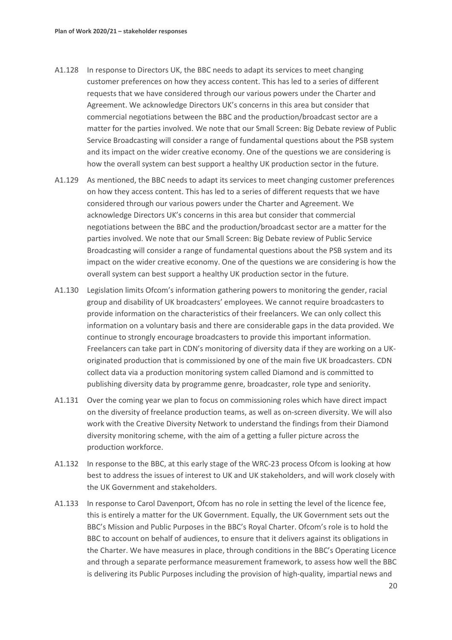- A1.128 In response to Directors UK, the BBC needs to adapt its services to meet changing customer preferences on how they access content. This has led to a series of different requests that we have considered through our various powers under the Charter and Agreement. We acknowledge Directors UK's concerns in this area but consider that commercial negotiations between the BBC and the production/broadcast sector are a matter for the parties involved. We note that our Small Screen: Big Debate review of Public Service Broadcasting will consider a range of fundamental questions about the PSB system and its impact on the wider creative economy. One of the questions we are considering is how the overall system can best support a healthy UK production sector in the future.
- A1.129 As mentioned, the BBC needs to adapt its services to meet changing customer preferences on how they access content. This has led to a series of different requests that we have considered through our various powers under the Charter and Agreement. We acknowledge Directors UK's concerns in this area but consider that commercial negotiations between the BBC and the production/broadcast sector are a matter for the parties involved. We note that our Small Screen: Big Debate review of Public Service Broadcasting will consider a range of fundamental questions about the PSB system and its impact on the wider creative economy. One of the questions we are considering is how the overall system can best support a healthy UK production sector in the future.
- A1.130 Legislation limits Ofcom's information gathering powers to monitoring the gender, racial group and disability of UK broadcasters' employees. We cannot require broadcasters to provide information on the characteristics of their freelancers. We can only collect this information on a voluntary basis and there are considerable gaps in the data provided. We continue to strongly encourage broadcasters to provide this important information. Freelancers can take part in CDN's monitoring of diversity data if they are working on a UKoriginated production that is commissioned by one of the main five UK broadcasters. CDN collect data via a production monitoring system called Diamond and is committed to publishing diversity data by programme genre, broadcaster, role type and seniority.
- A1.131 Over the coming year we plan to focus on commissioning roles which have direct impact on the diversity of freelance production teams, as well as on-screen diversity. We will also work with the Creative Diversity Network to understand the findings from their Diamond diversity monitoring scheme, with the aim of a getting a fuller picture across the production workforce.
- A1.132 In response to the BBC, at this early stage of the WRC-23 process Ofcom is looking at how best to address the issues of interest to UK and UK stakeholders, and will work closely with the UK Government and stakeholders.
- A1.133 In response to Carol Davenport, Ofcom has no role in setting the level of the licence fee, this is entirely a matter for the UK Government. Equally, the UK Government sets out the BBC's Mission and Public Purposes in the BBC's Royal Charter. Ofcom's role is to hold the BBC to account on behalf of audiences, to ensure that it delivers against its obligations in the Charter. We have measures in place, through conditions in the BBC's Operating Licence and through a separate performance measurement framework, to assess how well the BBC is delivering its Public Purposes including the provision of high-quality, impartial news and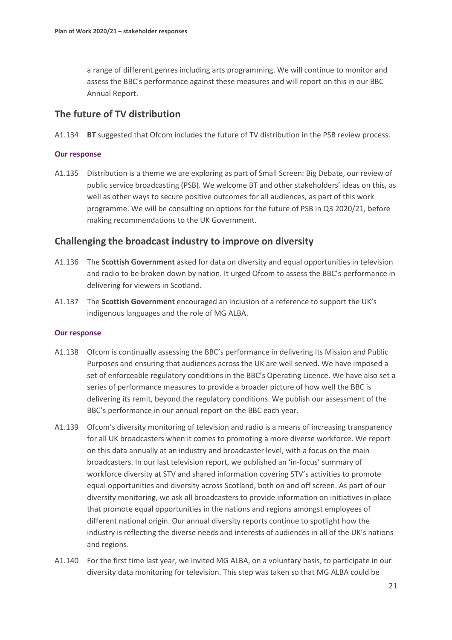a range of different genres including arts programming. We will continue to monitor and assess the BBC's performance against these measures and will report on this in our BBC Annual Report.

### **The future of TV distribution**

A1.134 **BT** suggested that Ofcom includes the future of TV distribution in the PSB review process.

#### **Our response**

A1.135 Distribution is a theme we are exploring as part of Small Screen: Big Debate, our review of public service broadcasting (PSB). We welcome BT and other stakeholders' ideas on this, as well as other ways to secure positive outcomes for all audiences, as part of this work programme. We will be consulting on options for the future of PSB in Q3 2020/21, before making recommendations to the UK Government.

### **Challenging the broadcast industry to improve on diversity**

- A1.136 The **Scottish Government** asked for data on diversity and equal opportunities in television and radio to be broken down by nation. It urged Ofcom to assess the BBC's performance in delivering for viewers in Scotland.
- A1.137 The **Scottish Government** encouraged an inclusion of a reference to support the UK's indigenous languages and the role of MG ALBA.

- A1.138 Ofcom is continually assessing the BBC's performance in delivering its Mission and Public Purposes and ensuring that audiences across the UK are well served. We have imposed a set of enforceable regulatory conditions in the BBC's Operating Licence. We have also set a series of performance measures to provide a broader picture of how well the BBC is delivering its remit, beyond the regulatory conditions. We publish our assessment of the BBC's performance in our annual report on the BBC each year.
- A1.139 Ofcom's diversity monitoring of television and radio is a means of increasing transparency for all UK broadcasters when it comes to promoting a more diverse workforce. We report on this data annually at an industry and broadcaster level, with a focus on the main broadcasters. In our last television report, we published an 'in-focus' summary of workforce diversity at STV and shared information covering STV's activities to promote equal opportunities and diversity across Scotland, both on and off screen. As part of our diversity monitoring, we ask all broadcasters to provide information on initiatives in place that promote equal opportunities in the nations and regions amongst employees of different national origin. Our annual diversity reports continue to spotlight how the industry is reflecting the diverse needs and interests of audiences in all of the UK's nations and regions.
- A1.140 For the first time last year, we invited MG ALBA, on a voluntary basis, to participate in our diversity data monitoring for television. This step was taken so that MG ALBA could be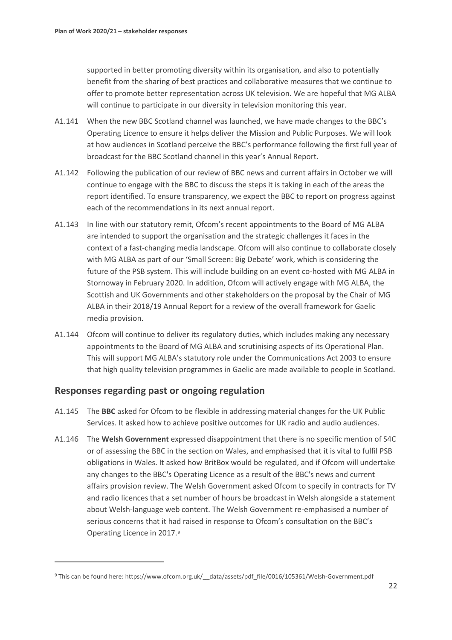supported in better promoting diversity within its organisation, and also to potentially benefit from the sharing of best practices and collaborative measures that we continue to offer to promote better representation across UK television. We are hopeful that MG ALBA will continue to participate in our diversity in television monitoring this year.

- A1.141 When the new BBC Scotland channel was launched, we have made changes to the BBC's Operating Licence to ensure it helps deliver the Mission and Public Purposes. We will look at how audiences in Scotland perceive the BBC's performance following the first full year of broadcast for the BBC Scotland channel in this year's Annual Report.
- A1.142 Following the publication of our review of BBC news and current affairs in October we will continue to engage with the BBC to discuss the steps it is taking in each of the areas the report identified. To ensure transparency, we expect the BBC to report on progress against each of the recommendations in its next annual report.
- A1.143 In line with our statutory remit, Ofcom's recent appointments to the Board of MG ALBA are intended to support the organisation and the strategic challenges it faces in the context of a fast-changing media landscape. Ofcom will also continue to collaborate closely with MG ALBA as part of our 'Small Screen: Big Debate' work, which is considering the future of the PSB system. This will include building on an event co-hosted with MG ALBA in Stornoway in February 2020. In addition, Ofcom will actively engage with MG ALBA, the Scottish and UK Governments and other stakeholders on the proposal by the Chair of MG ALBA in their 2018/19 Annual Report for a review of the overall framework for Gaelic media provision.
- A1.144 Ofcom will continue to deliver its regulatory duties, which includes making any necessary appointments to the Board of MG ALBA and scrutinising aspects of its Operational Plan. This will support MG ALBA's statutory role under the Communications Act 2003 to ensure that high quality television programmes in Gaelic are made available to people in Scotland.

### **Responses regarding past or ongoing regulation**

- A1.145 The **BBC** asked for Ofcom to be flexible in addressing material changes for the UK Public Services. It asked how to achieve positive outcomes for UK radio and audio audiences.
- A1.146 The **Welsh Government** expressed disappointment that there is no specific mention of S4C or of assessing the BBC in the section on Wales, and emphasised that it is vital to fulfil PSB obligations in Wales. It asked how BritBox would be regulated, and if Ofcom will undertake any changes to the BBC's Operating Licence as a result of the BBC's news and current affairs provision review. The Welsh Government asked Ofcom to specify in contracts for TV and radio licences that a set number of hours be broadcast in Welsh alongside a statement about Welsh-language web content. The Welsh Government re-emphasised a number of serious concerns that it had raised in response to Ofcom's consultation on the BBC's Operating Licence in 2017.[9](#page-22-0)

<span id="page-22-0"></span><sup>9</sup> This can be found here: https://www.ofcom.org.uk/ data/assets/pdf file/0016/105361/Welsh-Government.pdf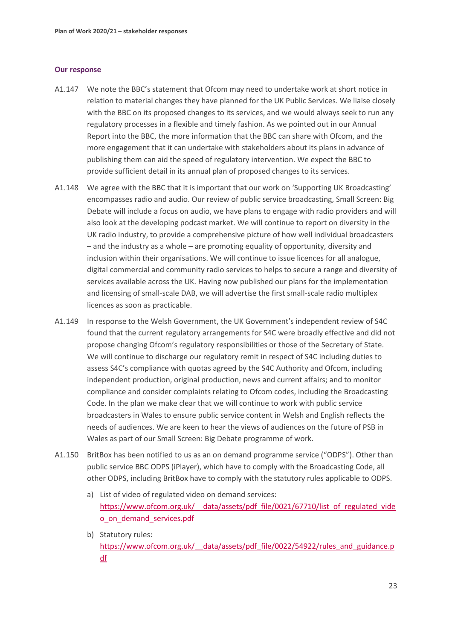- A1.147 We note the BBC's statement that Ofcom may need to undertake work at short notice in relation to material changes they have planned for the UK Public Services. We liaise closely with the BBC on its proposed changes to its services, and we would always seek to run any regulatory processes in a flexible and timely fashion. As we pointed out in our Annual Report into the BBC, the more information that the BBC can share with Ofcom, and the more engagement that it can undertake with stakeholders about its plans in advance of publishing them can aid the speed of regulatory intervention. We expect the BBC to provide sufficient detail in its annual plan of proposed changes to its services.
- A1.148 We agree with the BBC that it is important that our work on 'Supporting UK Broadcasting' encompasses radio and audio. Our review of public service broadcasting, Small Screen: Big Debate will include a focus on audio, we have plans to engage with radio providers and will also look at the developing podcast market. We will continue to report on diversity in the UK radio industry, to provide a comprehensive picture of how well individual broadcasters – and the industry as a whole – are promoting equality of opportunity, diversity and inclusion within their organisations. We will continue to issue licences for all analogue, digital commercial and community radio services to helps to secure a range and diversity of services available across the UK. Having now published our plans for the implementation and licensing of small-scale DAB, we will advertise the first small-scale radio multiplex licences as soon as practicable.
- A1.149 In response to the Welsh Government, the UK Government's independent review of S4C found that the current regulatory arrangements for S4C were broadly effective and did not propose changing Ofcom's regulatory responsibilities or those of the Secretary of State. We will continue to discharge our regulatory remit in respect of S4C including duties to assess S4C's compliance with quotas agreed by the S4C Authority and Ofcom, including independent production, original production, news and current affairs; and to monitor compliance and consider complaints relating to Ofcom codes, including the Broadcasting Code. In the plan we make clear that we will continue to work with public service broadcasters in Wales to ensure public service content in Welsh and English reflects the needs of audiences. We are keen to hear the views of audiences on the future of PSB in Wales as part of our Small Screen: Big Debate programme of work.
- A1.150 BritBox has been notified to us as an on demand programme service ("ODPS"). Other than public service BBC ODPS (iPlayer), which have to comply with the Broadcasting Code, all other ODPS, including BritBox have to comply with the statutory rules applicable to ODPS.
	- a) List of video of regulated video on demand services: https://www.ofcom.org.uk/ data/assets/pdf file/0021/67710/list of regulated vide [o\\_on\\_demand\\_services.pdf](https://www.ofcom.org.uk/__data/assets/pdf_file/0021/67710/list_of_regulated_video_on_demand_services.pdf)
	- b) Statutory rules: https://www.ofcom.org.uk/ data/assets/pdf file/0022/54922/rules and guidance.p [df](https://www.ofcom.org.uk/__data/assets/pdf_file/0022/54922/rules_and_guidance.pdf)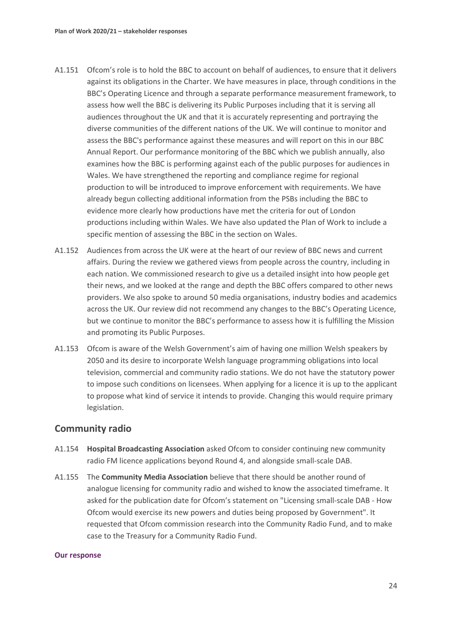- A1.151 Ofcom's role is to hold the BBC to account on behalf of audiences, to ensure that it delivers against its obligations in the Charter. We have measures in place, through conditions in the BBC's Operating Licence and through a separate performance measurement framework, to assess how well the BBC is delivering its Public Purposes including that it is serving all audiences throughout the UK and that it is accurately representing and portraying the diverse communities of the different nations of the UK. We will continue to monitor and assess the BBC's performance against these measures and will report on this in our BBC Annual Report. Our performance monitoring of the BBC which we publish annually, also examines how the BBC is performing against each of the public purposes for audiences in Wales. We have strengthened the reporting and compliance regime for regional production to will be introduced to improve enforcement with requirements. We have already begun collecting additional information from the PSBs including the BBC to evidence more clearly how productions have met the criteria for out of London productions including within Wales. We have also updated the Plan of Work to include a specific mention of assessing the BBC in the section on Wales.
- A1.152 Audiences from across the UK were at the heart of our review of BBC news and current affairs. During the review we gathered views from people across the country, including in each nation. We commissioned research to give us a detailed insight into how people get their news, and we looked at the range and depth the BBC offers compared to other news providers. We also spoke to around 50 media organisations, industry bodies and academics across the UK. Our review did not recommend any changes to the BBC's Operating Licence, but we continue to monitor the BBC's performance to assess how it is fulfilling the Mission and promoting its Public Purposes.
- A1.153 Ofcom is aware of the Welsh Government's aim of having one million Welsh speakers by 2050 and its desire to incorporate Welsh language programming obligations into local television, commercial and community radio stations. We do not have the statutory power to impose such conditions on licensees. When applying for a licence it is up to the applicant to propose what kind of service it intends to provide. Changing this would require primary legislation.

### **Community radio**

- A1.154 **Hospital Broadcasting Association** asked Ofcom to consider continuing new community radio FM licence applications beyond Round 4, and alongside small-scale DAB.
- A1.155 The **Community Media Association** believe that there should be another round of analogue licensing for community radio and wished to know the associated timeframe. It asked for the publication date for Ofcom's statement on "Licensing small-scale DAB - How Ofcom would exercise its new powers and duties being proposed by Government". It requested that Ofcom commission research into the Community Radio Fund, and to make case to the Treasury for a Community Radio Fund.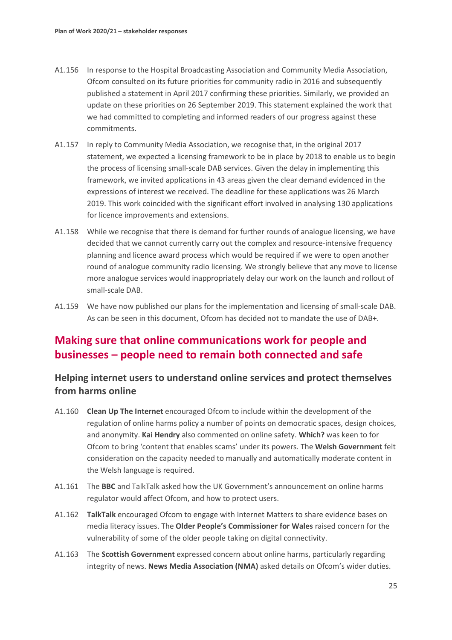- A1.156 In response to the Hospital Broadcasting Association and Community Media Association, Ofcom consulted on its future priorities for community radio in 2016 and subsequently published a statement in April 2017 confirming these priorities. Similarly, we provided an update on these priorities on 26 September 2019. This statement explained the work that we had committed to completing and informed readers of our progress against these commitments.
- A1.157 In reply to Community Media Association, we recognise that, in the original 2017 statement, we expected a licensing framework to be in place by 2018 to enable us to begin the process of licensing small-scale DAB services. Given the delay in implementing this framework, we invited applications in 43 areas given the clear demand evidenced in the expressions of interest we received. The deadline for these applications was 26 March 2019. This work coincided with the significant effort involved in analysing 130 applications for licence improvements and extensions.
- A1.158 While we recognise that there is demand for further rounds of analogue licensing, we have decided that we cannot currently carry out the complex and resource-intensive frequency planning and licence award process which would be required if we were to open another round of analogue community radio licensing. We strongly believe that any move to license more analogue services would inappropriately delay our work on the launch and rollout of small-scale DAB.
- A1.159 We have now published our plans for the implementation and licensing of small-scale DAB. As can be seen in this document, Ofcom has decided not to mandate the use of DAB+.

# **Making sure that online communications work for people and businesses – people need to remain both connected and safe**

### **Helping internet users to understand online services and protect themselves from harms online**

- A1.160 **Clean Up The Internet** encouraged Ofcom to include within the development of the regulation of online harms policy a number of points on democratic spaces, design choices, and anonymity. **Kai Hendry** also commented on online safety. **Which?** was keen to for Ofcom to bring 'content that enables scams' under its powers. The **Welsh Government** felt consideration on the capacity needed to manually and automatically moderate content in the Welsh language is required.
- A1.161 The **BBC** and TalkTalk asked how the UK Government's announcement on online harms regulator would affect Ofcom, and how to protect users.
- A1.162 **TalkTalk** encouraged Ofcom to engage with Internet Matters to share evidence bases on media literacy issues. The **Older People's Commissioner for Wales** raised concern for the vulnerability of some of the older people taking on digital connectivity.
- A1.163 The **Scottish Government** expressed concern about online harms, particularly regarding integrity of news. **News Media Association (NMA)** asked details on Ofcom's wider duties.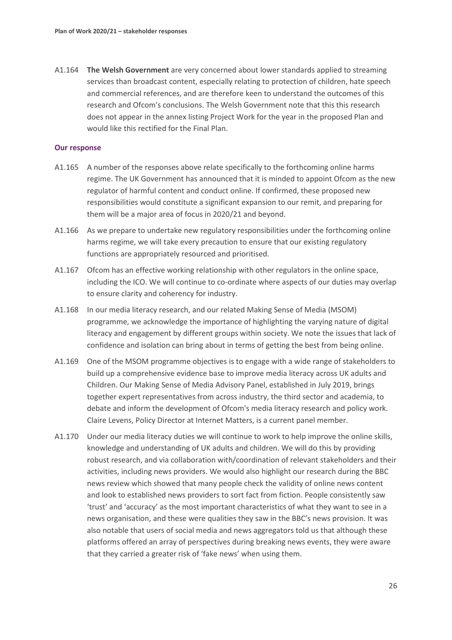A1.164 **The Welsh Government** are very concerned about lower standards applied to streaming services than broadcast content, especially relating to protection of children, hate speech and commercial references, and are therefore keen to understand the outcomes of this research and Ofcom's conclusions. The Welsh Government note that this this research does not appear in the annex listing Project Work for the year in the proposed Plan and would like this rectified for the Final Plan.

- A1.165 A number of the responses above relate specifically to the forthcoming online harms regime. The UK Government has announced that it is minded to appoint Ofcom as the new regulator of harmful content and conduct online. If confirmed, these proposed new responsibilities would constitute a significant expansion to our remit, and preparing for them will be a major area of focus in 2020/21 and beyond.
- A1.166 As we prepare to undertake new regulatory responsibilities under the forthcoming online harms regime, we will take every precaution to ensure that our existing regulatory functions are appropriately resourced and prioritised.
- A1.167 Ofcom has an effective working relationship with other regulators in the online space, including the ICO. We will continue to co-ordinate where aspects of our duties may overlap to ensure clarity and coherency for industry.
- A1.168 In our media literacy research, and our related Making Sense of Media (MSOM) programme, we acknowledge the importance of highlighting the varying nature of digital literacy and engagement by different groups within society. We note the issues that lack of confidence and isolation can bring about in terms of getting the best from being online.
- A1.169 One of the MSOM programme objectives is to engage with a wide range of stakeholders to build up a comprehensive evidence base to improve media literacy across UK adults and Children. Our Making Sense of Media Advisory Panel, established in July 2019, brings together expert representatives from across industry, the third sector and academia, to debate and inform the development of Ofcom's media literacy research and policy work. Claire Levens, Policy Director at Internet Matters, is a current panel member.
- A1.170 Under our media literacy duties we will continue to work to help improve the online skills, knowledge and understanding of UK adults and children. We will do this by providing robust research, and via collaboration with/coordination of relevant stakeholders and their activities, including news providers. We would also highlight our research during the BBC news review which showed that many people check the validity of online news content and look to established news providers to sort fact from fiction. People consistently saw 'trust' and 'accuracy' as the most important characteristics of what they want to see in a news organisation, and these were qualities they saw in the BBC's news provision. It was also notable that users of social media and news aggregators told us that although these platforms offered an array of perspectives during breaking news events, they were aware that they carried a greater risk of 'fake news' when using them.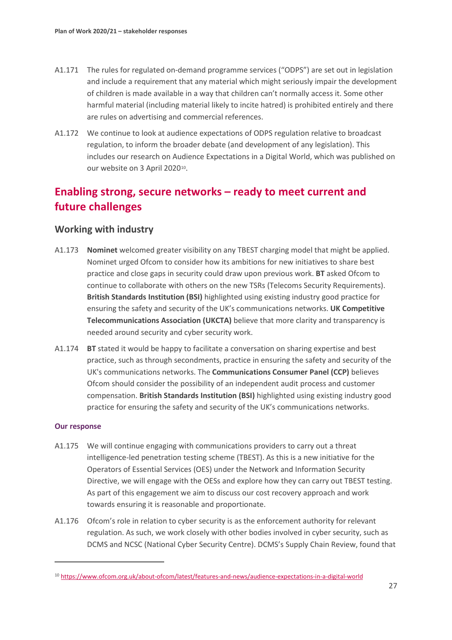- A1.171 The rules for regulated on-demand programme services ("ODPS") are set out in legislation and include a requirement that any material which might seriously impair the development of children is made available in a way that children can't normally access it. Some other harmful material (including material likely to incite hatred) is prohibited entirely and there are rules on advertising and commercial references.
- A1.172 We continue to look at audience expectations of ODPS regulation relative to broadcast regulation, to inform the broader debate (and development of any legislation). This includes our research on Audience Expectations in a Digital World, which was published on our website on 3 April 2020<sup>10</sup>.

# **Enabling strong, secure networks – ready to meet current and future challenges**

### **Working with industry**

- A1.173 **Nominet** welcomed greater visibility on any TBEST charging model that might be applied. Nominet urged Ofcom to consider how its ambitions for new initiatives to share best practice and close gaps in security could draw upon previous work. **BT** asked Ofcom to continue to collaborate with others on the new TSRs (Telecoms Security Requirements). **British Standards Institution (BSI)** highlighted using existing industry good practice for ensuring the safety and security of the UK's communications networks. **UK Competitive Telecommunications Association (UKCTA)** believe that more clarity and transparency is needed around security and cyber security work.
- A1.174 **BT** stated it would be happy to facilitate a conversation on sharing expertise and best practice, such as through secondments, practice in ensuring the safety and security of the UK's communications networks. The **Communications Consumer Panel (CCP)** believes Ofcom should consider the possibility of an independent audit process and customer compensation. **British Standards Institution (BSI)** highlighted using existing industry good practice for ensuring the safety and security of the UK's communications networks.

- A1.175 We will continue engaging with communications providers to carry out a threat intelligence-led penetration testing scheme (TBEST). As this is a new initiative for the Operators of Essential Services (OES) under the Network and Information Security Directive, we will engage with the OESs and explore how they can carry out TBEST testing. As part of this engagement we aim to discuss our cost recovery approach and work towards ensuring it is reasonable and proportionate.
- A1.176 Ofcom's role in relation to cyber security is as the enforcement authority for relevant regulation. As such, we work closely with other bodies involved in cyber security, such as DCMS and NCSC (National Cyber Security Centre). DCMS's Supply Chain Review, found that

<span id="page-27-0"></span><sup>10</sup> <https://www.ofcom.org.uk/about-ofcom/latest/features-and-news/audience-expectations-in-a-digital-world>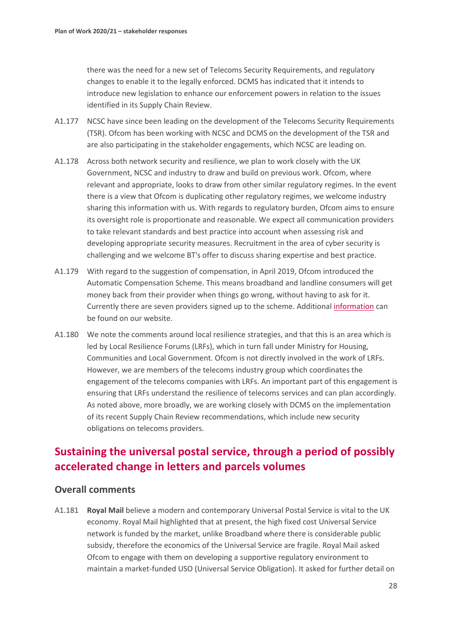there was the need for a new set of Telecoms Security Requirements, and regulatory changes to enable it to the legally enforced. DCMS has indicated that it intends to introduce new legislation to enhance our enforcement powers in relation to the issues identified in its Supply Chain Review.

- A1.177 NCSC have since been leading on the development of the Telecoms Security Requirements (TSR). Ofcom has been working with NCSC and DCMS on the development of the TSR and are also participating in the stakeholder engagements, which NCSC are leading on.
- A1.178 Across both network security and resilience, we plan to work closely with the UK Government, NCSC and industry to draw and build on previous work. Ofcom, where relevant and appropriate, looks to draw from other similar regulatory regimes. In the event there is a view that Ofcom is duplicating other regulatory regimes, we welcome industry sharing this information with us. With regards to regulatory burden, Ofcom aims to ensure its oversight role is proportionate and reasonable. We expect all communication providers to take relevant standards and best practice into account when assessing risk and developing appropriate security measures. Recruitment in the area of cyber security is challenging and we welcome BT's offer to discuss sharing expertise and best practice.
- A1.179 With regard to the suggestion of compensation, in April 2019, Ofcom introduced the Automatic Compensation Scheme. This means broadband and landline consumers will get money back from their provider when things go wrong, without having to ask for it. Currently there are seven providers signed up to the scheme. Additional [information](https://ofcomuk.sharepoint.com/sites/ap/stat/2020-21/Draft%20statements/A1.1%09https:/www.ofcom.org.uk/phones-telecoms-and-internet/advice-for-consumers/costs-and-billing/automatic-compensation-need-know) can be found on our website.
- A1.180 We note the comments around local resilience strategies, and that this is an area which is led by Local Resilience Forums (LRFs), which in turn fall under Ministry for Housing, Communities and Local Government. Ofcom is not directly involved in the work of LRFs. However, we are members of the telecoms industry group which coordinates the engagement of the telecoms companies with LRFs. An important part of this engagement is ensuring that LRFs understand the resilience of telecoms services and can plan accordingly. As noted above, more broadly, we are working closely with DCMS on the implementation of its recent Supply Chain Review recommendations, which include new security obligations on telecoms providers.

## **Sustaining the universal postal service, through a period of possibly accelerated change in letters and parcels volumes**

### **Overall comments**

A1.181 **Royal Mail** believe a modern and contemporary Universal Postal Service is vital to the UK economy. Royal Mail highlighted that at present, the high fixed cost Universal Service network is funded by the market, unlike Broadband where there is considerable public subsidy, therefore the economics of the Universal Service are fragile. Royal Mail asked Ofcom to engage with them on developing a supportive regulatory environment to maintain a market-funded USO (Universal Service Obligation). It asked for further detail on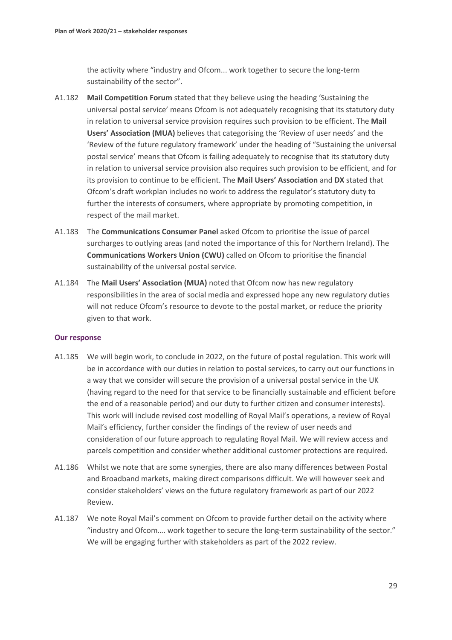the activity where "industry and Ofcom... work together to secure the long-term sustainability of the sector".

- A1.182 **Mail Competition Forum** stated that they believe using the heading 'Sustaining the universal postal service' means Ofcom is not adequately recognising that its statutory duty in relation to universal service provision requires such provision to be efficient. The **Mail Users' Association (MUA)** believes that categorising the 'Review of user needs' and the 'Review of the future regulatory framework' under the heading of "Sustaining the universal postal service' means that Ofcom is failing adequately to recognise that its statutory duty in relation to universal service provision also requires such provision to be efficient, and for its provision to continue to be efficient. The **Mail Users' Association** and **DX** stated that Ofcom's draft workplan includes no work to address the regulator's statutory duty to further the interests of consumers, where appropriate by promoting competition, in respect of the mail market.
- A1.183 The **Communications Consumer Panel** asked Ofcom to prioritise the issue of parcel surcharges to outlying areas (and noted the importance of this for Northern Ireland). The **Communications Workers Union (CWU)** called on Ofcom to prioritise the financial sustainability of the universal postal service.
- A1.184 The **Mail Users' Association (MUA)** noted that Ofcom now has new regulatory responsibilities in the area of social media and expressed hope any new regulatory duties will not reduce Ofcom's resource to devote to the postal market, or reduce the priority given to that work.

- A1.185 We will begin work, to conclude in 2022, on the future of postal regulation. This work will be in accordance with our duties in relation to postal services, to carry out our functions in a way that we consider will secure the provision of a universal postal service in the UK (having regard to the need for that service to be financially sustainable and efficient before the end of a reasonable period) and our duty to further citizen and consumer interests). This work will include revised cost modelling of Royal Mail's operations, a review of Royal Mail's efficiency, further consider the findings of the review of user needs and consideration of our future approach to regulating Royal Mail. We will review access and parcels competition and consider whether additional customer protections are required.
- A1.186 Whilst we note that are some synergies, there are also many differences between Postal and Broadband markets, making direct comparisons difficult. We will however seek and consider stakeholders' views on the future regulatory framework as part of our 2022 Review.
- A1.187 We note Royal Mail's comment on Ofcom to provide further detail on the activity where "industry and Ofcom…. work together to secure the long-term sustainability of the sector." We will be engaging further with stakeholders as part of the 2022 review.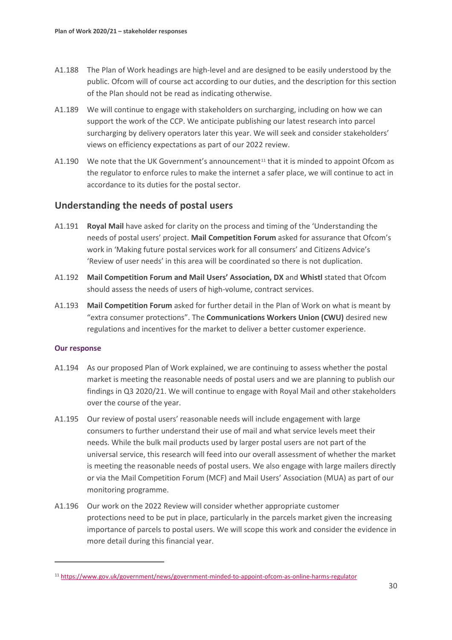- A1.188 The Plan of Work headings are high-level and are designed to be easily understood by the public. Ofcom will of course act according to our duties, and the description for this section of the Plan should not be read as indicating otherwise.
- A1.189 We will continue to engage with stakeholders on surcharging, including on how we can support the work of the CCP. We anticipate publishing our latest research into parcel surcharging by delivery operators later this year. We will seek and consider stakeholders' views on efficiency expectations as part of our 2022 review.
- A1.190 We note that the UK Government's announcement<sup>[11](#page-30-0)</sup> that it is minded to appoint Ofcom as the regulator to enforce rules to make the internet a safer place, we will continue to act in accordance to its duties for the postal sector.

### **Understanding the needs of postal users**

- A1.191 **Royal Mail** have asked for clarity on the process and timing of the 'Understanding the needs of postal users' project. **Mail Competition Forum** asked for assurance that Ofcom's work in 'Making future postal services work for all consumers' and Citizens Advice's 'Review of user needs' in this area will be coordinated so there is not duplication.
- A1.192 **Mail Competition Forum and Mail Users' Association, DX** and **Whistl** stated that Ofcom should assess the needs of users of high-volume, contract services.
- A1.193 **Mail Competition Forum** asked for further detail in the Plan of Work on what is meant by "extra consumer protections". The **Communications Workers Union (CWU)** desired new regulations and incentives for the market to deliver a better customer experience.

- A1.194 As our proposed Plan of Work explained, we are continuing to assess whether the postal market is meeting the reasonable needs of postal users and we are planning to publish our findings in Q3 2020/21. We will continue to engage with Royal Mail and other stakeholders over the course of the year.
- A1.195 Our review of postal users' reasonable needs will include engagement with large consumers to further understand their use of mail and what service levels meet their needs. While the bulk mail products used by larger postal users are not part of the universal service, this research will feed into our overall assessment of whether the market is meeting the reasonable needs of postal users. We also engage with large mailers directly or via the Mail Competition Forum (MCF) and Mail Users' Association (MUA) as part of our monitoring programme.
- A1.196 Our work on the 2022 Review will consider whether appropriate customer protections need to be put in place, particularly in the parcels market given the increasing importance of parcels to postal users. We will scope this work and consider the evidence in more detail during this financial year.

<span id="page-30-0"></span><sup>11</sup> <https://www.gov.uk/government/news/government-minded-to-appoint-ofcom-as-online-harms-regulator>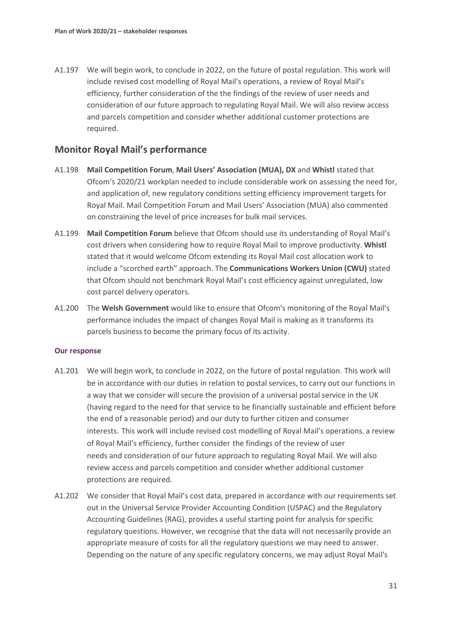A1.197 We will begin work, to conclude in 2022, on the future of postal regulation. This work will include revised cost modelling of Royal Mail's operations, a review of Royal Mail's efficiency, further consideration of the the findings of the review of user needs and consideration of our future approach to regulating Royal Mail. We will also review access and parcels competition and consider whether additional customer protections are required.

### **Monitor Royal Mail's performance**

- A1.198 **Mail Competition Forum**, **Mail Users' Association (MUA), DX** and **Whistl** stated that Ofcom's 2020/21 workplan needed to include considerable work on assessing the need for, and application of, new regulatory conditions setting efficiency improvement targets for Royal Mail. Mail Competition Forum and Mail Users' Association (MUA) also commented on constraining the level of price increases for bulk mail services.
- A1.199 **Mail Competition Forum** believe that Ofcom should use its understanding of Royal Mail's cost drivers when considering how to require Royal Mail to improve productivity. **Whistl**  stated that it would welcome Ofcom extending its Royal Mail cost allocation work to include a "scorched earth" approach. The **Communications Workers Union (CWU)** stated that Ofcom should not benchmark Royal Mail's cost efficiency against unregulated, low cost parcel delivery operators.
- A1.200 The **Welsh Government** would like to ensure that Ofcom's monitoring of the Royal Mail's performance includes the impact of changes Royal Mail is making as it transforms its parcels business to become the primary focus of its activity.

- A1.201 We will begin work, to conclude in 2022, on the future of postal regulation. This work will be in accordance with our duties in relation to postal services, to carry out our functions in a way that we consider will secure the provision of a universal postal service in the UK (having regard to the need for that service to be financially sustainable and efficient before the end of a reasonable period) and our duty to further citizen and consumer interests. This work will include revised cost modelling of Royal Mail's operations, a review of Royal Mail's efficiency, further consider the findings of the review of user needs and consideration of our future approach to regulating Royal Mail. We will also review access and parcels competition and consider whether additional customer protections are required.
- A1.202 We consider that Royal Mail's cost data, prepared in accordance with our requirements set out in the Universal Service Provider Accounting Condition (USPAC) and the Regulatory Accounting Guidelines (RAG), provides a useful starting point for analysis for specific regulatory questions. However, we recognise that the data will not necessarily provide an appropriate measure of costs for all the regulatory questions we may need to answer. Depending on the nature of any specific regulatory concerns, we may adjust Royal Mail's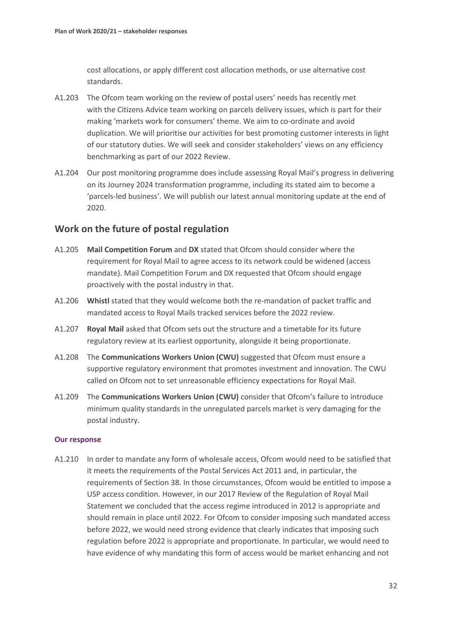cost allocations, or apply different cost allocation methods, or use alternative cost standards.

- A1.203 The Ofcom team working on the review of postal users' needs has recently met with the Citizens Advice team working on parcels delivery issues, which is part for their making 'markets work for consumers' theme. We aim to co-ordinate and avoid duplication. We will prioritise our activities for best promoting customer interests in light of our statutory duties. We will seek and consider stakeholders' views on any efficiency benchmarking as part of our 2022 Review.
- A1.204 Our post monitoring programme does include assessing Royal Mail's progress in delivering on its Journey 2024 transformation programme, including its stated aim to become a 'parcels-led business'. We will publish our latest annual monitoring update at the end of 2020.

### **Work on the future of postal regulation**

- A1.205 **Mail Competition Forum** and **DX** stated that Ofcom should consider where the requirement for Royal Mail to agree access to its network could be widened (access mandate). Mail Competition Forum and DX requested that Ofcom should engage proactively with the postal industry in that.
- A1.206 **Whistl** stated that they would welcome both the re-mandation of packet traffic and mandated access to Royal Mails tracked services before the 2022 review.
- A1.207 **Royal Mail** asked that Ofcom sets out the structure and a timetable for its future regulatory review at its earliest opportunity, alongside it being proportionate.
- A1.208 The **Communications Workers Union (CWU)** suggested that Ofcom must ensure a supportive regulatory environment that promotes investment and innovation. The CWU called on Ofcom not to set unreasonable efficiency expectations for Royal Mail.
- A1.209 The **Communications Workers Union (CWU)** consider that Ofcom's failure to introduce minimum quality standards in the unregulated parcels market is very damaging for the postal industry.

#### **Our response**

A1.210 In order to mandate any form of wholesale access, Ofcom would need to be satisfied that it meets the requirements of the Postal Services Act 2011 and, in particular, the requirements of Section 38. In those circumstances, Ofcom would be entitled to impose a USP access condition. However, in our 2017 Review of the Regulation of Royal Mail Statement we concluded that the access regime introduced in 2012 is appropriate and should remain in place until 2022. For Ofcom to consider imposing such mandated access before 2022, we would need strong evidence that clearly indicates that imposing such regulation before 2022 is appropriate and proportionate. In particular, we would need to have evidence of why mandating this form of access would be market enhancing and not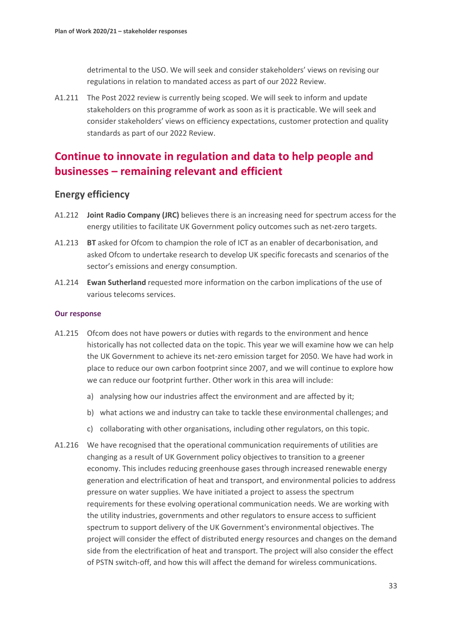detrimental to the USO. We will seek and consider stakeholders' views on revising our regulations in relation to mandated access as part of our 2022 Review.

A1.211 The Post 2022 review is currently being scoped. We will seek to inform and update stakeholders on this programme of work as soon as it is practicable. We will seek and consider stakeholders' views on efficiency expectations, customer protection and quality standards as part of our 2022 Review.

# **Continue to innovate in regulation and data to help people and businesses – remaining relevant and efficient**

### **Energy efficiency**

- A1.212 **Joint Radio Company (JRC)** believes there is an increasing need for spectrum access for the energy utilities to facilitate UK Government policy outcomes such as net-zero targets.
- A1.213 **BT** asked for Ofcom to champion the role of ICT as an enabler of decarbonisation, and asked Ofcom to undertake research to develop UK specific forecasts and scenarios of the sector's emissions and energy consumption.
- A1.214 **Ewan Sutherland** requested more information on the carbon implications of the use of various telecoms services.

- A1.215 Ofcom does not have powers or duties with regards to the environment and hence historically has not collected data on the topic. This year we will examine how we can help the UK Government to achieve its net-zero emission target for 2050. We have had work in place to reduce our own carbon footprint since 2007, and we will continue to explore how we can reduce our footprint further. Other work in this area will include:
	- a) analysing how our industries affect the environment and are affected by it;
	- b) what actions we and industry can take to tackle these environmental challenges; and
	- c) collaborating with other organisations, including other regulators, on this topic.
- A1.216 We have recognised that the operational communication requirements of utilities are changing as a result of UK Government policy objectives to transition to a greener economy. This includes reducing greenhouse gases through increased renewable energy generation and electrification of heat and transport, and environmental policies to address pressure on water supplies. We have initiated a project to assess the spectrum requirements for these evolving operational communication needs. We are working with the utility industries, governments and other regulators to ensure access to sufficient spectrum to support delivery of the UK Government's environmental objectives. The project will consider the effect of distributed energy resources and changes on the demand side from the electrification of heat and transport. The project will also consider the effect of PSTN switch-off, and how this will affect the demand for wireless communications.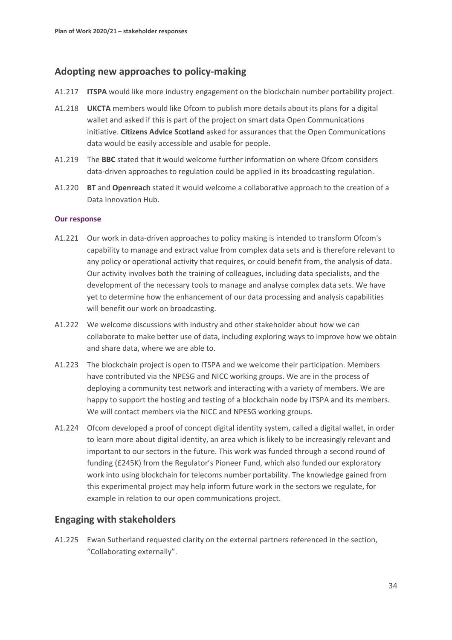### **Adopting new approaches to policy-making**

- A1.217 **ITSPA** would like more industry engagement on the blockchain number portability project.
- A1.218 **UKCTA** members would like Ofcom to publish more details about its plans for a digital wallet and asked if this is part of the project on smart data Open Communications initiative. **Citizens Advice Scotland** asked for assurances that the Open Communications data would be easily accessible and usable for people.
- A1.219 The **BBC** stated that it would welcome further information on where Ofcom considers data-driven approaches to regulation could be applied in its broadcasting regulation.
- A1.220 **BT** and **Openreach** stated it would welcome a collaborative approach to the creation of a Data Innovation Hub.

#### **Our response**

- A1.221 Our work in data-driven approaches to policy making is intended to transform Ofcom's capability to manage and extract value from complex data sets and is therefore relevant to any policy or operational activity that requires, or could benefit from, the analysis of data. Our activity involves both the training of colleagues, including data specialists, and the development of the necessary tools to manage and analyse complex data sets. We have yet to determine how the enhancement of our data processing and analysis capabilities will benefit our work on broadcasting.
- A1.222 We welcome discussions with industry and other stakeholder about how we can collaborate to make better use of data, including exploring ways to improve how we obtain and share data, where we are able to.
- A1.223 The blockchain project is open to ITSPA and we welcome their participation. Members have contributed via the NPESG and NICC working groups. We are in the process of deploying a community test network and interacting with a variety of members. We are happy to support the hosting and testing of a blockchain node by ITSPA and its members. We will contact members via the NICC and NPESG working groups.
- A1.224 Ofcom developed a proof of concept digital identity system, called a digital wallet, in order to learn more about digital identity, an area which is likely to be increasingly relevant and important to our sectors in the future. This work was funded through a second round of funding (£245K) from the Regulator's Pioneer Fund, which also funded our exploratory work into using blockchain for telecoms number portability. The knowledge gained from this experimental project may help inform future work in the sectors we regulate, for example in relation to our open communications project.

### **Engaging with stakeholders**

A1.225 Ewan Sutherland requested clarity on the external partners referenced in the section, "Collaborating externally".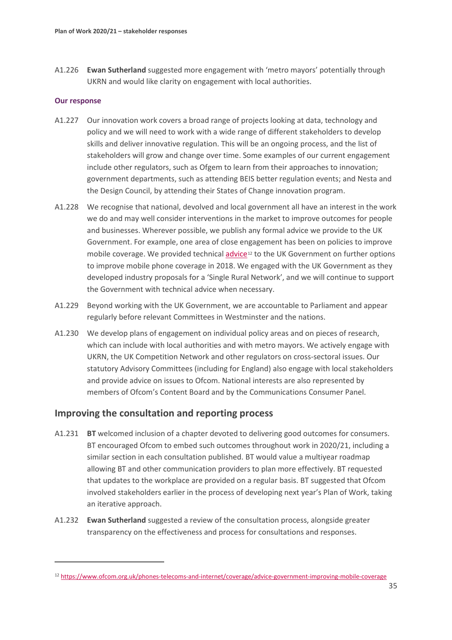A1.226 **Ewan Sutherland** suggested more engagement with 'metro mayors' potentially through UKRN and would like clarity on engagement with local authorities.

#### **Our response**

- A1.227 Our innovation work covers a broad range of projects looking at data, technology and policy and we will need to work with a wide range of different stakeholders to develop skills and deliver innovative regulation. This will be an ongoing process, and the list of stakeholders will grow and change over time. Some examples of our current engagement include other regulators, such as Ofgem to learn from their approaches to innovation; government departments, such as attending BEIS better regulation events; and Nesta and the Design Council, by attending their States of Change innovation program.
- A1.228 We recognise that national, devolved and local government all have an interest in the work we do and may well consider interventions in the market to improve outcomes for people and businesses. Wherever possible, we publish any formal advice we provide to the UK Government. For example, one area of close engagement has been on policies to improve mobile coverage. We provided technical [advice](https://www.ofcom.org.uk/phones-telecoms-and-internet/coverage/advice-government-improving-mobile-coverage)<sup>[12](#page-35-0)</sup> to the UK Government on further options to improve mobile phone coverage in 2018. We engaged with the UK Government as they developed industry proposals for a 'Single Rural Network', and we will continue to support the Government with technical advice when necessary.
- A1.229 Beyond working with the UK Government, we are accountable to Parliament and appear regularly before relevant Committees in Westminster and the nations.
- A1.230 We develop plans of engagement on individual policy areas and on pieces of research, which can include with local authorities and with metro mayors. We actively engage with UKRN, the UK Competition Network and other regulators on cross-sectoral issues. Our statutory Advisory Committees (including for England) also engage with local stakeholders and provide advice on issues to Ofcom. National interests are also represented by members of Ofcom's Content Board and by the Communications Consumer Panel.

### **Improving the consultation and reporting process**

- A1.231 **BT** welcomed inclusion of a chapter devoted to delivering good outcomes for consumers. BT encouraged Ofcom to embed such outcomes throughout work in 2020/21, including a similar section in each consultation published. BT would value a multiyear roadmap allowing BT and other communication providers to plan more effectively. BT requested that updates to the workplace are provided on a regular basis. BT suggested that Ofcom involved stakeholders earlier in the process of developing next year's Plan of Work, taking an iterative approach.
- A1.232 **Ewan Sutherland** suggested a review of the consultation process, alongside greater transparency on the effectiveness and process for consultations and responses.

<span id="page-35-0"></span><sup>12</sup> <https://www.ofcom.org.uk/phones-telecoms-and-internet/coverage/advice-government-improving-mobile-coverage>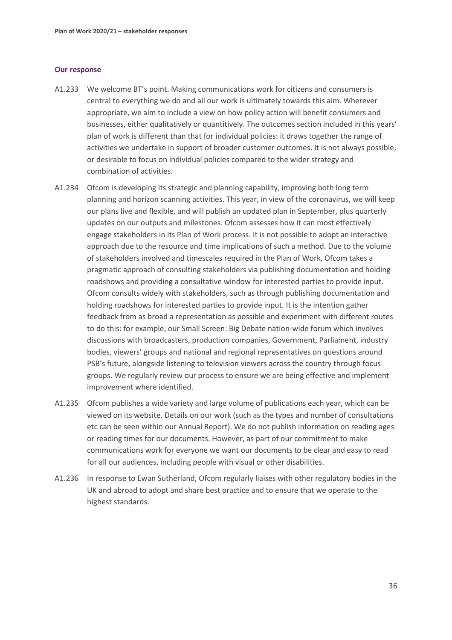- A1.233 We welcome BT's point. Making communications work for citizens and consumers is central to everything we do and all our work is ultimately towards this aim. Wherever appropriate, we aim to include a view on how policy action will benefit consumers and businesses, either qualitatively or quantitively. The outcomes section included in this years' plan of work is different than that for individual policies: it draws together the range of activities we undertake in support of broader customer outcomes. It is not always possible, or desirable to focus on individual policies compared to the wider strategy and combination of activities.
- A1.234 Ofcom is developing its strategic and planning capability, improving both long term planning and horizon scanning activities. This year, in view of the coronavirus, we will keep our plans live and flexible, and will publish an updated plan in September, plus quarterly updates on our outputs and milestones. Ofcom assesses how it can most effectively engage stakeholders in its Plan of Work process. It is not possible to adopt an interactive approach due to the resource and time implications of such a method. Due to the volume of stakeholders involved and timescales required in the Plan of Work, Ofcom takes a pragmatic approach of consulting stakeholders via publishing documentation and holding roadshows and providing a consultative window for interested parties to provide input. Ofcom consults widely with stakeholders, such as through publishing documentation and holding roadshows for interested parties to provide input. It is the intention gather feedback from as broad a representation as possible and experiment with different routes to do this: for example, our Small Screen: Big Debate nation-wide forum which involves discussions with broadcasters, production companies, Government, Parliament, industry bodies, viewers' groups and national and regional representatives on questions around PSB's future, alongside listening to television viewers across the country through focus groups. We regularly review our process to ensure we are being effective and implement improvement where identified.
- A1.235 Ofcom publishes a wide variety and large volume of publications each year, which can be viewed on its website. Details on our work (such as the types and number of consultations etc can be seen within our Annual Report). We do not publish information on reading ages or reading times for our documents. However, as part of our commitment to make communications work for everyone we want our documents to be clear and easy to read for all our audiences, including people with visual or other disabilities.
- A1.236 In response to Ewan Sutherland, Ofcom regularly liaises with other regulatory bodies in the UK and abroad to adopt and share best practice and to ensure that we operate to the highest standards.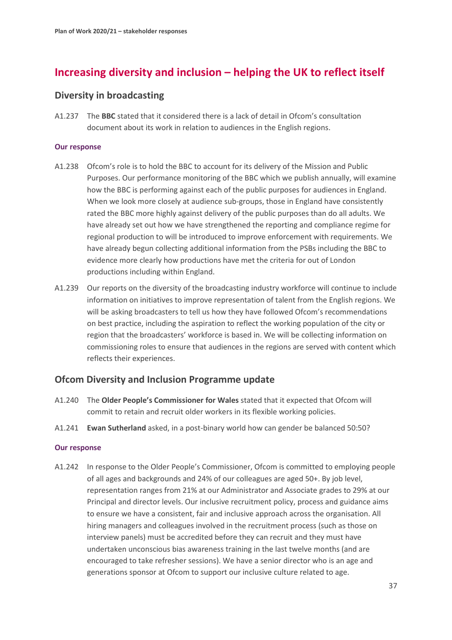# **Increasing diversity and inclusion – helping the UK to reflect itself**

### **Diversity in broadcasting**

A1.237 The **BBC** stated that it considered there is a lack of detail in Ofcom's consultation document about its work in relation to audiences in the English regions.

#### **Our response**

- A1.238 Ofcom's role is to hold the BBC to account for its delivery of the Mission and Public Purposes. Our performance monitoring of the BBC which we publish annually, will examine how the BBC is performing against each of the public purposes for audiences in England. When we look more closely at audience sub-groups, those in England have consistently rated the BBC more highly against delivery of the public purposes than do all adults. We have already set out how we have strengthened the reporting and compliance regime for regional production to will be introduced to improve enforcement with requirements. We have already begun collecting additional information from the PSBs including the BBC to evidence more clearly how productions have met the criteria for out of London productions including within England.
- A1.239 Our reports on the diversity of the broadcasting industry workforce will continue to include information on initiatives to improve representation of talent from the English regions. We will be asking broadcasters to tell us how they have followed Ofcom's recommendations on best practice, including the aspiration to reflect the working population of the city or region that the broadcasters' workforce is based in. We will be collecting information on commissioning roles to ensure that audiences in the regions are served with content which reflects their experiences.

### **Ofcom Diversity and Inclusion Programme update**

- A1.240 The **Older People's Commissioner for Wales** stated that it expected that Ofcom will commit to retain and recruit older workers in its flexible working policies.
- A1.241 **Ewan Sutherland** asked, in a post-binary world how can gender be balanced 50:50?

#### **Our response**

A1.242 In response to the Older People's Commissioner, Ofcom is committed to employing people of all ages and backgrounds and 24% of our colleagues are aged 50+. By job level, representation ranges from 21% at our Administrator and Associate grades to 29% at our Principal and director levels. Our inclusive recruitment policy, process and guidance aims to ensure we have a consistent, fair and inclusive approach across the organisation. All hiring managers and colleagues involved in the recruitment process (such as those on interview panels) must be accredited before they can recruit and they must have undertaken unconscious bias awareness training in the last twelve months (and are encouraged to take refresher sessions). We have a senior director who is an age and generations sponsor at Ofcom to support our inclusive culture related to age.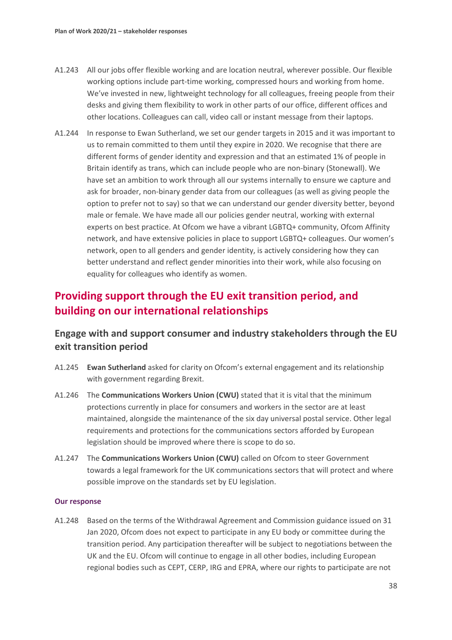- A1.243 All our jobs offer flexible working and are location neutral, wherever possible. Our flexible working options include part-time working, compressed hours and working from home. We've invested in new, lightweight technology for all colleagues, freeing people from their desks and giving them flexibility to work in other parts of our office, different offices and other locations. Colleagues can call, video call or instant message from their laptops.
- A1.244 In response to Ewan Sutherland, we set our gender targets in 2015 and it was important to us to remain committed to them until they expire in 2020. We recognise that there are different forms of gender identity and expression and that an estimated 1% of people in Britain identify as trans, which can include people who are non-binary (Stonewall). We have set an ambition to work through all our systems internally to ensure we capture and ask for broader, non-binary gender data from our colleagues (as well as giving people the option to prefer not to say) so that we can understand our gender diversity better, beyond male or female. We have made all our policies gender neutral, working with external experts on best practice. At Ofcom we have a vibrant LGBTQ+ community, Ofcom Affinity network, and have extensive policies in place to support LGBTQ+ colleagues. Our women's network, open to all genders and gender identity, is actively considering how they can better understand and reflect gender minorities into their work, while also focusing on equality for colleagues who identify as women.

# **Providing support through the EU exit transition period, and building on our international relationships**

### **Engage with and support consumer and industry stakeholders through the EU exit transition period**

- A1.245 **Ewan Sutherland** asked for clarity on Ofcom's external engagement and its relationship with government regarding Brexit.
- A1.246 The **Communications Workers Union (CWU)** stated that it is vital that the minimum protections currently in place for consumers and workers in the sector are at least maintained, alongside the maintenance of the six day universal postal service. Other legal requirements and protections for the communications sectors afforded by European legislation should be improved where there is scope to do so.
- A1.247 The **Communications Workers Union (CWU)** called on Ofcom to steer Government towards a legal framework for the UK communications sectors that will protect and where possible improve on the standards set by EU legislation.

#### **Our response**

A1.248 Based on the terms of the Withdrawal Agreement and Commission guidance issued on 31 Jan 2020, Ofcom does not expect to participate in any EU body or committee during the transition period. Any participation thereafter will be subject to negotiations between the UK and the EU. Ofcom will continue to engage in all other bodies, including European regional bodies such as CEPT, CERP, IRG and EPRA, where our rights to participate are not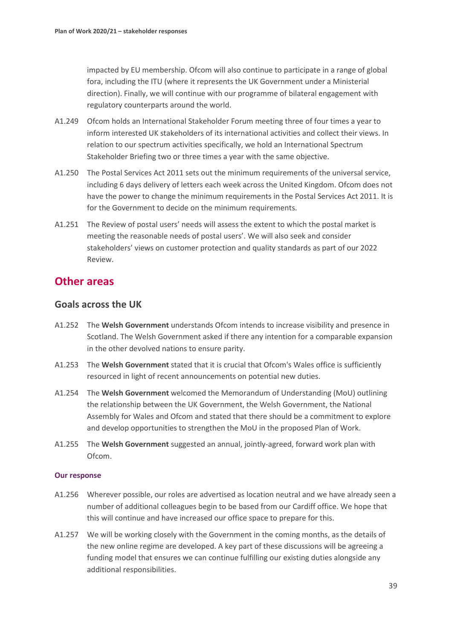impacted by EU membership. Ofcom will also continue to participate in a range of global fora, including the ITU (where it represents the UK Government under a Ministerial direction). Finally, we will continue with our programme of bilateral engagement with regulatory counterparts around the world.

- A1.249 Ofcom holds an International Stakeholder Forum meeting three of four times a year to inform interested UK stakeholders of its international activities and collect their views. In relation to our spectrum activities specifically, we hold an International Spectrum Stakeholder Briefing two or three times a year with the same objective.
- A1.250 The Postal Services Act 2011 sets out the minimum requirements of the universal service, including 6 days delivery of letters each week across the United Kingdom. Ofcom does not have the power to change the minimum requirements in the Postal Services Act 2011. It is for the Government to decide on the minimum requirements.
- A1.251 The Review of postal users' needs will assess the extent to which the postal market is meeting the reasonable needs of postal users'. We will also seek and consider stakeholders' views on customer protection and quality standards as part of our 2022 Review.

### **Other areas**

### **Goals across the UK**

- A1.252 The **Welsh Government** understands Ofcom intends to increase visibility and presence in Scotland. The Welsh Government asked if there any intention for a comparable expansion in the other devolved nations to ensure parity.
- A1.253 The **Welsh Government** stated that it is crucial that Ofcom's Wales office is sufficiently resourced in light of recent announcements on potential new duties.
- A1.254 The **Welsh Government** welcomed the Memorandum of Understanding (MoU) outlining the relationship between the UK Government, the Welsh Government, the National Assembly for Wales and Ofcom and stated that there should be a commitment to explore and develop opportunities to strengthen the MoU in the proposed Plan of Work.
- A1.255 The **Welsh Government** suggested an annual, jointly-agreed, forward work plan with Ofcom.

- A1.256 Wherever possible, our roles are advertised as location neutral and we have already seen a number of additional colleagues begin to be based from our Cardiff office. We hope that this will continue and have increased our office space to prepare for this.
- A1.257 We will be working closely with the Government in the coming months, as the details of the new online regime are developed. A key part of these discussions will be agreeing a funding model that ensures we can continue fulfilling our existing duties alongside any additional responsibilities.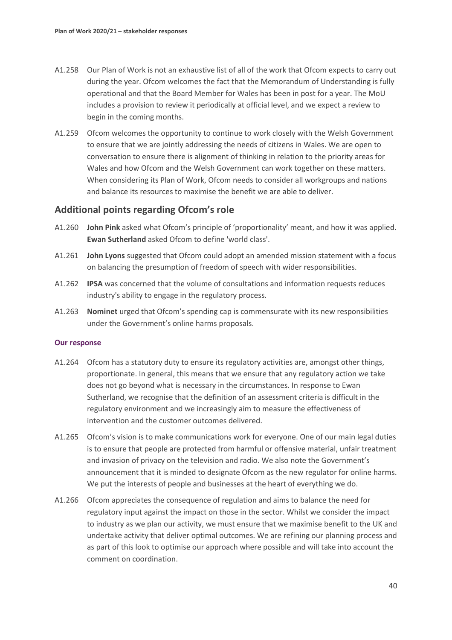- A1.258 Our Plan of Work is not an exhaustive list of all of the work that Ofcom expects to carry out during the year. Ofcom welcomes the fact that the Memorandum of Understanding is fully operational and that the Board Member for Wales has been in post for a year. The MoU includes a provision to review it periodically at official level, and we expect a review to begin in the coming months.
- A1.259 Ofcom welcomes the opportunity to continue to work closely with the Welsh Government to ensure that we are jointly addressing the needs of citizens in Wales. We are open to conversation to ensure there is alignment of thinking in relation to the priority areas for Wales and how Ofcom and the Welsh Government can work together on these matters. When considering its Plan of Work, Ofcom needs to consider all workgroups and nations and balance its resources to maximise the benefit we are able to deliver.

### **Additional points regarding Ofcom's role**

- A1.260 **John Pink** asked what Ofcom's principle of 'proportionality' meant, and how it was applied. **Ewan Sutherland** asked Ofcom to define 'world class'.
- A1.261 **John Lyons** suggested that Ofcom could adopt an amended mission statement with a focus on balancing the presumption of freedom of speech with wider responsibilities.
- A1.262 **IPSA** was concerned that the volume of consultations and information requests reduces industry's ability to engage in the regulatory process.
- A1.263 **Nominet** urged that Ofcom's spending cap is commensurate with its new responsibilities under the Government's online harms proposals.

- A1.264 Ofcom has a statutory duty to ensure its regulatory activities are, amongst other things, proportionate. In general, this means that we ensure that any regulatory action we take does not go beyond what is necessary in the circumstances. In response to Ewan Sutherland, we recognise that the definition of an assessment criteria is difficult in the regulatory environment and we increasingly aim to measure the effectiveness of intervention and the customer outcomes delivered.
- A1.265 Ofcom's vision is to make communications work for everyone. One of our main legal duties is to ensure that people are protected from harmful or offensive material, unfair treatment and invasion of privacy on the television and radio. We also note the Government's announcement that it is minded to designate Ofcom as the new regulator for online harms. We put the interests of people and businesses at the heart of everything we do.
- A1.266 Ofcom appreciates the consequence of regulation and aims to balance the need for regulatory input against the impact on those in the sector. Whilst we consider the impact to industry as we plan our activity, we must ensure that we maximise benefit to the UK and undertake activity that deliver optimal outcomes. We are refining our planning process and as part of this look to optimise our approach where possible and will take into account the comment on coordination.